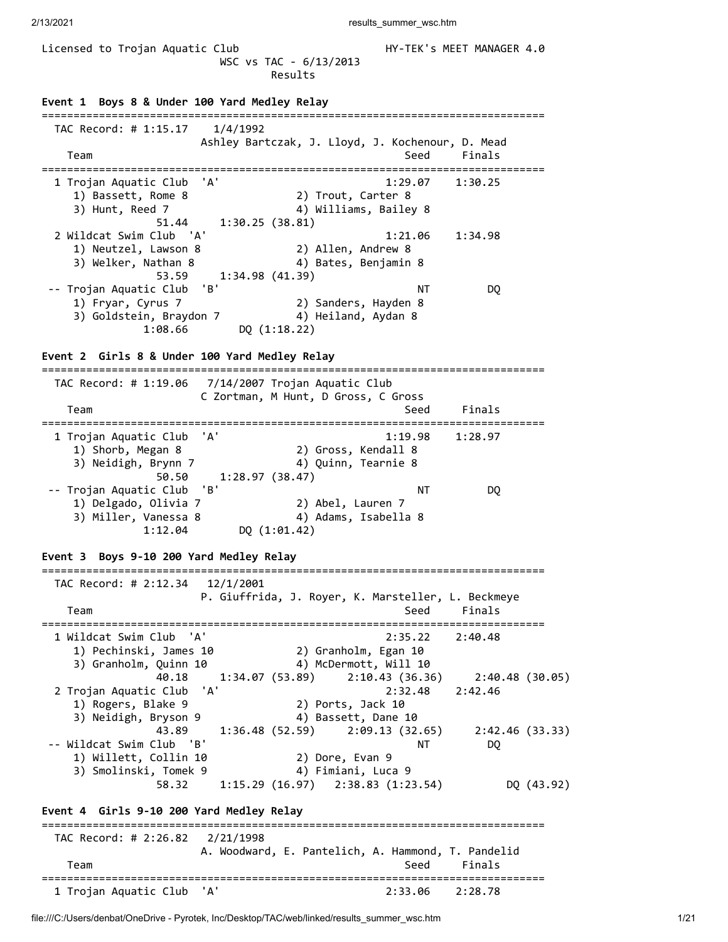WSC vs TAC - 6/13/2013 Results **Event 1 Boys 8 & Under 100 Yard Medley Relay** =============================================================================== TAC Record: # 1:15.17 1/4/1992 Ashley Bartczak, J. Lloyd, J. Kochenour, D. Mead Team Seed Finals =============================================================================== 1 Trojan Aquatic Club 'A' 1:29.07 1:30.25 1) Bassett, Rome 8 2) Trout, Carter 8 3) Hunt, Reed 7 4) Williams, Bailey 8 51.44 1:30.25 (38.81) 2 Wildcat Swim Club 'A' 1:21.06 1:34.98 1) Neutzel, Lawson 8 2) Allen, Andrew 8 3) Welker, Nathan 8 4) Bates, Benjamin 8 53.59 1:34.98 (41.39) -- Trojan Aquatic Club 'B' NT DQ 1) Fryar, Cyrus 7 2) Sanders, Hayden 8 3) Goldstein, Braydon 7 4) Heiland, Aydan 8 1:08.66 DQ (1:18.22) **Event 2 Girls 8 & Under 100 Yard Medley Relay** =============================================================================== TAC Record: # 1:19.06 7/14/2007 Trojan Aquatic Club C Zortman, M Hunt, D Gross, C Gross Team Seed Finals =============================================================================== 1 Trojan Aquatic Club 'A' 1:19.98 1:28.97 1) Shorb, Megan 8 2) Gross, Kendall 8 3) Neidigh, Brynn 7 4) Quinn, Tearnie 8 50.50 1:28.97 (38.47) -- Trojan Aquatic Club 'B' NT DQ 1) Delgado, Olivia 7 2) Abel, Lauren 7 3) Miller, Vanessa 8  $\hskip1cm$  4) Adams, Isabella 8 1:12.04 DQ (1:01.42) **Event 3 Boys 9-10 200 Yard Medley Relay** =============================================================================== TAC Record: # 2:12.34 12/1/2001 P. Giuffrida, J. Royer, K. Marsteller, L. Beckmeye Team Seed Finals =============================================================================== 1 Wildcat Swim Club 'A' 2:35.22 2:40.48 1) Pechinski, James 10 2) Granholm, Egan 10 3) Granholm, Quinn 10 4) McDermott, Will 10 40.18 1:34.07 (53.89) 2:10.43 (36.36) 2:40.48 (30.05) 2 Trojan Aquatic Club 'A' 2:32.48 2:42.46 1) Rogers, Blake 9 2) Ports, Jack 10 2 Trojan Aquatic Club 'A'<br>
2 32.48<br>
3) Rogers, Blake 9<br>
3) Neidigh, Bryson 9<br>
4) Bassett, Dane 10 43.89 1:36.48 (52.59) 2:09.13 (32.65) 2:42.46 (33.33) -- Wildcat Swim Club 'B' NT DQ 1) Willett, Collin 10 2) Dore, Evan 9 3) Smolinski, Tomek 9 4) Fimiani, Luca 9 58.32 1:15.29 (16.97) 2:38.83 (1:23.54) DQ (43.92) **Event 4 Girls 9-10 200 Yard Medley Relay** =============================================================================== TAC Record: # 2:26.82 2/21/1998 A. Woodward, E. Pantelich, A. Hammond, T. Pandelid Team Seed Finals =============================================================================== 1 Trojan Aquatic Club 'A' 2:33.06 2:28.78

Licensed to Trojan Aquatic Club **HY-TEK's MEET MANAGER 4.0** 

file:///C:/Users/denbat/OneDrive - Pyrotek, Inc/Desktop/TAC/web/linked/results\_summer\_wsc.htm 1/21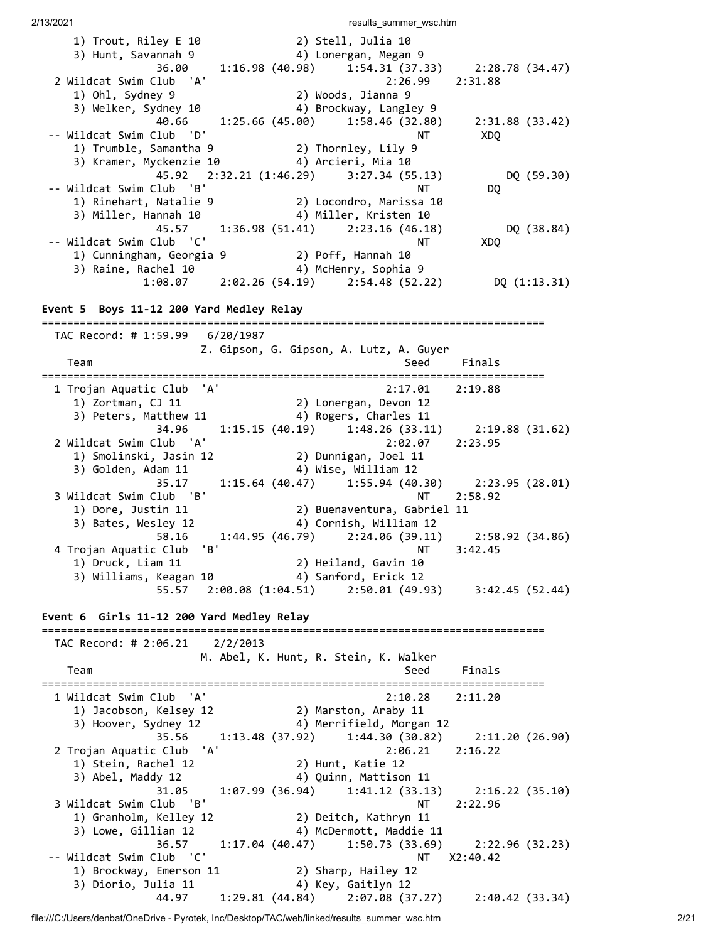1) Trout, Riley E 10 2) Stell, Julia 10 3) Hunt, Savannah 9 4) Lonergan, Megan 9 36.00 1:16.98 (40.98) 1:54.31 (37.33) 2:28.78 (34.47) 2 Wildcat Swim Club 'A' 2:26.99 2:31.88 1) Ohl, Sydney 9 2) Woods, Jianna 9 3) Welker, Sydney 10 4) Brockway, Langley 9 40.66 1:25.66 (45.00) 1:58.46 (32.80) 2:31.88 (33.42) -- Wildcat Swim Club 'D' NT XDQ 1) Trumble, Samantha 9 2) Thornley, Lily 9 3) Kramer, Myckenzie 10 4) Arcieri, Mia 10 45.92 2:32.21 (1:46.29) 3:27.34 (55.13) DQ (59.30) -- Wildcat Swim Club 'B' NT NT DQ 1) Rinehart, Natalie 9 2) Locondro, Marissa 10 3) Miller, Hannah 10 4) Miller, Kristen 10 45.57 1:36.98 (51.41) 2:23.16 (46.18) DQ (38.84) -- Wildcat Swim Club 'C' NT XDQ 1) Cunningham, Georgia 9 2) Poff, Hannah 10 3) Raine, Rachel 10 4) McHenry, Sophia 9 1:08.07 2:02.26 (54.19) 2:54.48 (52.22) DQ (1:13.31) **Event 5 Boys 11-12 200 Yard Medley Relay** =============================================================================== TAC Record: # 1:59.99 6/20/1987 Z. Gipson, G. Gipson, A. Lutz, A. Guyer Team Seed Finals =============================================================================== 1 Trojan Aquatic Club 'A' 2:17.01 2:19.88 1) Zortman, CJ 11 2) Lonergan, Devon 12 3) Peters, Matthew 11 4) Rogers, Charles 11 34.96 1:15.15 (40.19) 1:48.26 (33.11) 2:19.88 (31.62)<br>2 Wildcat Swim Club 'A' 2:02.07 2:23.95 2 Wildcat Swim Club 'A' 2:02.07 2:23.95 1) Smolinski, Jasin 12 2) Dunnigan, Joel 11 3) Golden, Adam 11 4) Wise, William 12 35.17 1:15.64 (40.47) 1:55.94 (40.30) 2:23.95 (28.01) 3 Wildcat Swim Club 'B' NT 2:58.92 1) Dore, Justin 11 2) Buenaventura, Gabriel 11 3) Bates, Wesley 12 4) Cornish, William 12 58.16 1:44.95 (46.79) 2:24.06 (39.11) 2:58.92 (34.86) 4 Trojan Aquatic Club 'B' NT 3:42.45 1) Druck, Liam 11 2) Heiland, Gavin 10 3) Williams, Keagan 10 4) Sanford, Erick 12 55.57 2:00.08 (1:04.51) 2:50.01 (49.93) 3:42.45 (52.44) **Event 6 Girls 11-12 200 Yard Medley Relay** =============================================================================== TAC Record: # 2:06.21 2/2/2013 M. Abel, K. Hunt, R. Stein, K. Walker Team Seed Finals =============================================================================== 1 Wildcat Swim Club 'A' 2:10.28 2:11.20 1) Jacobson, Kelsey 12 2) Marston, Araby 11 3) Hoover, Sydney 12 4) Merrifield, Morgan 12 35.56 1:13.48 (37.92) 1:44.30 (30.82) 2:11.20 (26.90) 2 Trojan Aquatic Club 'A' 2:06.21 2:16.22 1) Stein, Rachel 12 2) Hunt, Katie 12 3) Abel, Maddy 12 4) Quinn, Mattison 11 31.05 1:07.99 (36.94) 1:41.12 (33.13) 2:16.22 (35.10) 3 Wildcat Swim Club 'B' NT 2:22.96 1) Granholm, Kelley 12 2) Deitch, Kathryn 11 3) Lowe, Gillian 12 4) McDermott, Maddie 11 36.57 1:17.04 (40.47) 1:50.73 (33.69) 2:22.96 (32.23) -- Wildcat Swim Club 'C' NT X2:40.42 1) Brockway, Emerson 11 2) Sharp, Hailey 12 3) Diorio, Julia 11 4) Key, Gaitlyn 12 44.97 1:29.81 (44.84) 2:07.08 (37.27) 2:40.42 (33.34)

file:///C:/Users/denbat/OneDrive - Pyrotek, Inc/Desktop/TAC/web/linked/results\_summer\_wsc.htm 2/21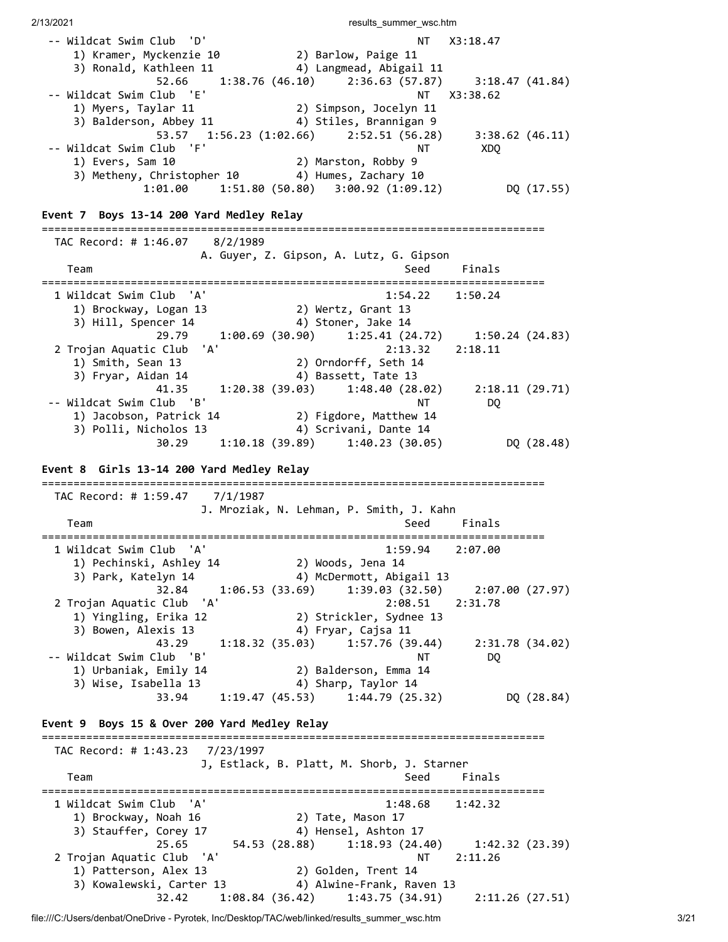2/13/2021 **results** summer wsc.htm -- Wildcat Swim Club 'D' NT X3:18.47 1) Kramer, Myckenzie 10 2) Barlow, Paige 11 3) Ronald, Kathleen 11 4) Langmead, Abigail 11  $52.66$  1:38.76 (46.10) 2:36.63 (57.87) 3:18.47 (41.84)<br>Club 'E' NT X3:38.62 -- Wildcat Swim Club 'E' NT X3:38.62 1) Myers, Taylar 11 2) Simpson, Jocelyn 11 3) Balderson, Abbey 11 4) Stiles, Brannigan 9 53.57 1:56.23 (1:02.66) 2:52.51 (56.28) 3:38.62 (46.11) -- Wildcat Swim Club 'F' NT NT XDQ 1) Evers, Sam 10 2) Marston, Robby 9 3) Metheny, Christopher 10 4) Humes, Zachary 10 1:01.00 1:51.80 (50.80) 3:00.92 (1:09.12) DQ (17.55) **Event 7 Boys 13-14 200 Yard Medley Relay** =============================================================================== TAC Record: # 1:46.07 8/2/1989 A. Guyer, Z. Gipson, A. Lutz, G. Gipson Team Seed Finals =============================================================================== 1 Wildcat Swim Club 'A' 1:54.22 1:50.24 1) Brockway, Logan 13 2) Wertz, Grant 13 3) Hill, Spencer 14  $\hskip1cm$  4) Stoner, Jake 14 29.79 1:00.69 (30.90) 1:25.41 (24.72) 1:50.24 (24.83) 2 Trojan Aquatic Club 'A' 2:13.32 2:18.11 1) Smith, Sean 13 2) Orndorff, Seth 14 3) Fryar, Aidan 14 4) Bassett, Tate 13 41.35 1:20.38 (39.03) 1:48.40 (28.02) 2:18.11 (29.71) -- Wildcat Swim Club 'B' NT DQ 1) Jacobson, Patrick 14 2) Figdore, Matthew 14 3) Polli, Nicholos 13 4) Scrivani, Dante 14 30.29 1:10.18 (39.89) 1:40.23 (30.05) DQ (28.48) **Event 8 Girls 13-14 200 Yard Medley Relay** =============================================================================== TAC Record: # 1:59.47 7/1/1987 J. Mroziak, N. Lehman, P. Smith, J. Kahn Team Seed Finals =============================================================================== 1 Wildcat Swim Club 'A' 1:59.94 2:07.00 1) Pechinski, Ashley 14 2) Woods, Jena 14 3) Park, Katelyn 14 4) McDermott, Abigail 13 32.84 1:06.53 (33.69) 1:39.03 (32.50) 2:07.00 (27.97) 2 Trojan Aquatic Club 'A' 2:08.51 2:31.78 1) Yingling, Erika 12 2) Strickler, Sydnee 13 3) Bowen, Alexis 13 4) Fryar, Cajsa 11 43.29 1:18.32 (35.03) 1:57.76 (39.44) 2:31.78 (34.02) -- Wildcat Swim Club 'B' NT DQ 1) Urbaniak, Emily 14 2) Balderson, Emma 14 3) Wise, Isabella 13 4) Sharp, Taylor 14 33.94 1:19.47 (45.53) 1:44.79 (25.32) DQ (28.84) **Event 9 Boys 15 & Over 200 Yard Medley Relay** =============================================================================== TAC Record: # 1:43.23 7/23/1997 J, Estlack, B. Platt, M. Shorb, J. Starner Team Seed Finals =============================================================================== 1 Wildcat Swim Club 'A' 1:48.68 1:42.32 1) Brockway, Noah 16 2) Tate, Mason 17 3) Stauffer, Corey 17 4) Hensel, Ashton 17 25.65 54.53 (28.88) 1:18.93 (24.40) 1:42.32 (23.39) 2 Trojan Aquatic Club 'A' NT 2:11.26 1) Patterson, Alex 13 2) Golden, Trent 14 3) Kowalewski, Carter 13 4) Alwine-Frank, Raven 13 32.42 1:08.84 (36.42) 1:43.75 (34.91) 2:11.26 (27.51)

file:///C:/Users/denbat/OneDrive - Pyrotek, Inc/Desktop/TAC/web/linked/results\_summer\_wsc.htm 3/21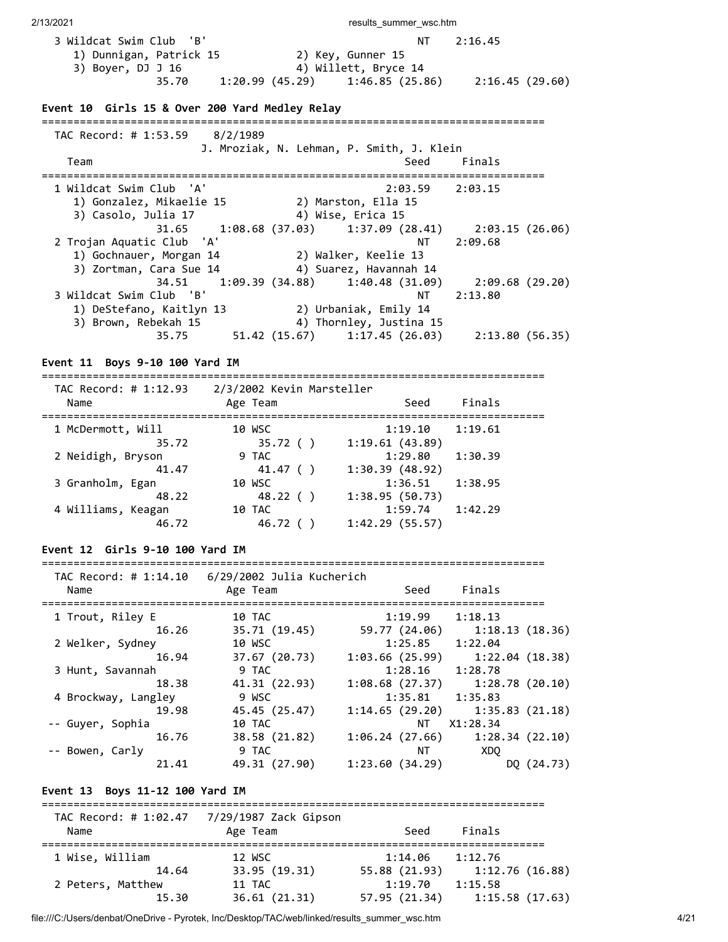| 3 Wildcat Swim Club 'B' |                | NT                   | 2:16.45         |
|-------------------------|----------------|----------------------|-----------------|
| 1) Dunnigan, Patrick 15 |                | 2) Key, Gunner 15    |                 |
| 3) Boyer, DJ J 16       |                | 4) Willett, Bryce 14 |                 |
| 35.70                   | 1:20.99(45.29) | 1:46.85(25.86)       | 2:16.45 (29.60) |

### **Event 10 Girls 15 & Over 200 Yard Medley Relay**

| TAC Record: # 1:53.59 8/2/1989 |                                                                   |
|--------------------------------|-------------------------------------------------------------------|
|                                | J. Mroziak, N. Lehman, P. Smith, J. Klein                         |
| Team                           | Finals<br>Seed                                                    |
| 1 Wildcat Swim Club 'A'        | $2:03.59$ $2:03.15$                                               |
|                                |                                                                   |
| 1) Gonzalez, Mikaelie 15       | 2) Marston, Ella 15                                               |
| 3) Casolo, Julia 17            | 4) Wise, Erica 15                                                 |
|                                | $31.65$ 1:08.68 (37.03) 1:37.09 (28.41) 2:03.15 (26.06)           |
| 2 Trojan Aquatic Club 'A'      | 2:09.68<br>NT .                                                   |
| 1) Gochnauer, Morgan 14        | 2) Walker, Keelie 13                                              |
| 3) Zortman, Cara Sue 14        | 4) Suarez, Havannah 14                                            |
|                                | 34.51   1:09.39   (34.88)   1:40.48   (31.09)   2:09.68   (29.20) |
| 3 Wildcat Swim Club 'B'        | 2:13.80<br>NT L                                                   |
| 1) DeStefano, Kaitlyn 13       | 2) Urbaniak, Emily 14                                             |
| 3) Brown, Rebekah 15           | 4) Thornley, Justina 15                                           |
| 35.75                          | $51.42$ (15.67) $1:17.45$ (26.03)<br>2:13.80(56.35)               |

### **Event 11 Boys 9-10 100 Yard IM**

=============================================================================== TAC Record: # 1:12.93 2/3/2002 Kevin Marsteller

| $AL$ $NECUIU.$ $H$ $1.12.33$<br>Name | 2/3/2002 REVILL MALSLEIIER<br>Age Team | Seed           | Finals  |
|--------------------------------------|----------------------------------------|----------------|---------|
| 1 McDermott, Will                    | 10 WSC                                 | 1:19.10        | 1:19.61 |
| 35.72                                | 35.72()                                | 1:19.61(43.89) |         |
| 2 Neidigh, Bryson                    | 9 TAC                                  | 1:29.80        | 1:30.39 |
| 41.47                                | 41.47 ()                               | 1:30.39(48.92) |         |
| 3 Granholm, Egan                     | 10 WSC                                 | 1:36.51        | 1:38.95 |
| 48.22                                | 48.22()                                | 1:38.95(50.73) |         |
| 4 Williams, Keagan                   | 10 TAC                                 | 1:59.74        | 1:42.29 |
| 46.72                                | 46.72                                  | 1:42.29(55.57) |         |

### **Event 12 Girls 9-10 100 Yard IM**

#### ===============================================================================

| TAC Record: # 1:14.10<br>Name | 6/29/2002 Julia Kucherich<br>Age Team | Seed                                | Finals          |            |
|-------------------------------|---------------------------------------|-------------------------------------|-----------------|------------|
|                               |                                       |                                     |                 |            |
| 1 Trout, Riley E              | 10 TAC                                | 1:19.99                             | 1:18.13         |            |
| 16.26                         | 35.71 (19.45)                         | 59.77 (24.06)                       | 1:18.13(18.36)  |            |
| 2 Welker, Sydney              | 10 WSC                                | 1:25.85                             | 1:22.04         |            |
| 16.94                         | 37.67 (20.73)                         | 1:03.66(25.99)                      | 1:22.04 (18.38) |            |
| 3 Hunt, Savannah              | 9 TAC                                 | 1:28.16                             | 1:28.78         |            |
| 18.38                         | 41.31 (22.93)                         | $1:08.68$ (27.37) $1:28.78$ (20.10) |                 |            |
| 4 Brockway, Langley           | 9 WSC                                 | 1:35.81                             | 1:35.83         |            |
| 19.98                         | 45.45 (25.47)                         | $1:14.65(29.20)$ $1:35.83(21.18)$   |                 |            |
| -- Guyer, Sophia              | 10 TAC                                | NT.                                 | X1:28.34        |            |
| 16.76                         | 38.58 (21.82)                         | $1:06.24$ (27.66) $1:28.34$ (22.10) |                 |            |
| -- Bowen, Carly               | 9 TAC                                 | NT                                  | XDO             |            |
| 21.41                         | 49.31 (27.90)                         | 1:23.60(34.29)                      |                 | DO (24.73) |

#### **Event 13 Boys 11-12 100 Yard IM**

| TAC Record: # 1:02.47<br>Name | 7/29/1987 Zack Gipson<br>Age Team | Seed          | Finals         |
|-------------------------------|-----------------------------------|---------------|----------------|
| 1 Wise, William               | 12 WSC                            | 1:14.06       | 1:12.76        |
| 14.64                         | 33.95 (19.31)                     | 55.88 (21.93) | 1:12.76(16.88) |
| 2 Peters, Matthew             | 11 TAC                            | 1:19.70       | 1:15.58        |
| 15.30                         | 36.61(21.31)                      | 57.95 (21.34) | 1:15.58(17.63) |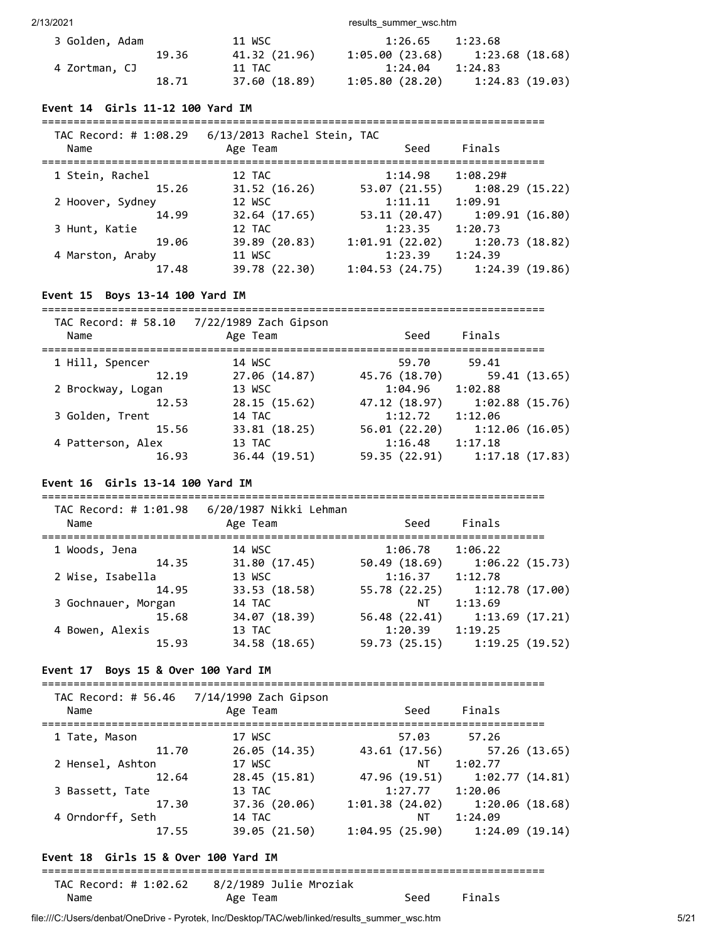2/13/2021 2002 and the control of the control of the control of the control of the control of the control of the control of the control of the control of the control of the control of the control of the control of the cont

| 3 Golden, Adam |       | 11 WSC        | 1:26.65        | 1:23.68         |
|----------------|-------|---------------|----------------|-----------------|
|                | 19.36 | 41.32 (21.96) | 1:05.00(23.68) | 1:23.68 (18.68) |
| 4 Zortman, CJ  |       | 11 TAC        | 1:24.04        | 1:24.83         |
|                | 18.71 | 37.60 (18.89) | 1:05.80(28.20) | 1:24.83(19.03)  |

#### **Event 14 Girls 11-12 100 Yard IM**

#### ===============================================================================  $6/13/2013$  Rachel Stein

| Name             | Age Team      | Seed           | Finals         |  |
|------------------|---------------|----------------|----------------|--|
| 1 Stein, Rachel  | 12 TAC        | 1:14.98        | 1:08.29#       |  |
| 15.26            | 31.52(16.26)  | 53.07 (21.55)  | 1:08.29(15.22) |  |
| 2 Hoover, Sydney | 12 WSC        | 1:11.11        | 1:09.91        |  |
| 14.99            | 32.64 (17.65) | 53.11 (20.47)  | 1:09.91(16.80) |  |
| 3 Hunt, Katie    | 12 TAC        | 1:23.35        | 1:20.73        |  |
| 19.06            | 39.89 (20.83) | 1:01.91(22.02) | 1:20.73(18.82) |  |
| 4 Marston, Araby | 11 WSC        | 1:23.39        | 1:24.39        |  |
| 17.48            | 39.78 (22.30) | 1:04.53(24.75) | 1:24.39(19.86) |  |
|                  |               |                |                |  |

#### **Event 15 Boys 13-14 100 Yard IM**

===============================================================================

| TAC Record: # 58.10<br>Name | 7/22/1989 Zach Gipson<br>Age Team | Seed          | Finals         |
|-----------------------------|-----------------------------------|---------------|----------------|
| 1 Hill, Spencer             | 14 WSC                            | 59.70         | 59.41          |
| 12.19                       | 27.06 (14.87)                     | 45.76 (18.70) | 59.41 (13.65)  |
| 2 Brockway, Logan           | 13 WSC                            | 1:04.96       | 1:02.88        |
| 12.53                       | 28.15(15.62)                      | 47.12 (18.97) | 1:02.88(15.76) |
| 3 Golden, Trent             | 14 TAC                            | 1:12.72       | 1:12.06        |
| 15.56                       | 33.81 (18.25)                     | 56.01(22.20)  | 1:12.06(16.05) |
| 4 Patterson, Alex           | 13 TAC                            | 1:16.48       | 1:17.18        |
| 16.93                       | 36.44 (19.51)                     | 59.35 (22.91) | 1:17.18(17.83) |
|                             |                                   |               |                |

#### **Event 16 Girls 13-14 100 Yard IM**

=============================================================================== TAC Record: # 1:01.98 6/20/1987 Nikki Lehman Name Age Team Seed Finals

| 1 Woods, Jena       | 14 WSC        | 1:06.78       | 1:06.22        |
|---------------------|---------------|---------------|----------------|
| 14.35               | 31.80 (17.45) | 50.49 (18.69) | 1:06.22(15.73) |
| 2 Wise, Isabella    | 13 WSC        | 1:16.37       | 1:12.78        |
| 14.95               | 33.53 (18.58) | 55.78 (22.25) | 1:12.78(17.00) |
| 3 Gochnauer, Morgan | 14 TAC        | ΝT            | 1:13.69        |
| 15.68               | 34.07 (18.39) | 56.48 (22.41) | 1:13.69(17.21) |
| 4 Bowen, Alexis     | 13 TAC        | 1:20.39       | 1:19.25        |
| 15.93               | 34.58 (18.65) | 59.73 (25.15) | 1:19.25(19.52) |

### **Event 17 Boys 15 & Over 100 Yard IM**

| Name             | TAC Record: # 56.46 7/14/1990 Zach Gipson<br>Age Team | Seed           | Finals         |
|------------------|-------------------------------------------------------|----------------|----------------|
| 1 Tate, Mason    | 17 WSC                                                | 57.03          | 57.26          |
| 11.70            | 26.05(14.35)                                          | 43.61 (17.56)  | 57.26 (13.65)  |
| 2 Hensel, Ashton | 17 WSC                                                | ΝT             | 1:02.77        |
| 12.64            | 28.45 (15.81)                                         | 47.96 (19.51)  | 1:02.77(14.81) |
| 3 Bassett, Tate  | 13 TAC                                                | 1:27.77        | 1:20.06        |
| 17.30            | 37.36 (20.06)                                         | 1:01.38(24.02) | 1:20.06(18.68) |
| 4 Orndorff, Seth | 14 TAC                                                | ΝT             | 1:24.09        |
| 17.55            | 39.05 (21.50)                                         | 1:04.95(25.90) | 1:24.09(19.14) |
|                  |                                                       |                |                |

### **Event 18 Girls 15 & Over 100 Yard IM**

=============================================================================== TAC Record: # 1:02.62 8/2/1989 Julie Mroziak

Name Age Team Seed Finals

```
file:///C:/Users/denbat/OneDrive - Pyrotek, Inc/Desktop/TAC/web/linked/results_summer_wsc.htm 5/21
```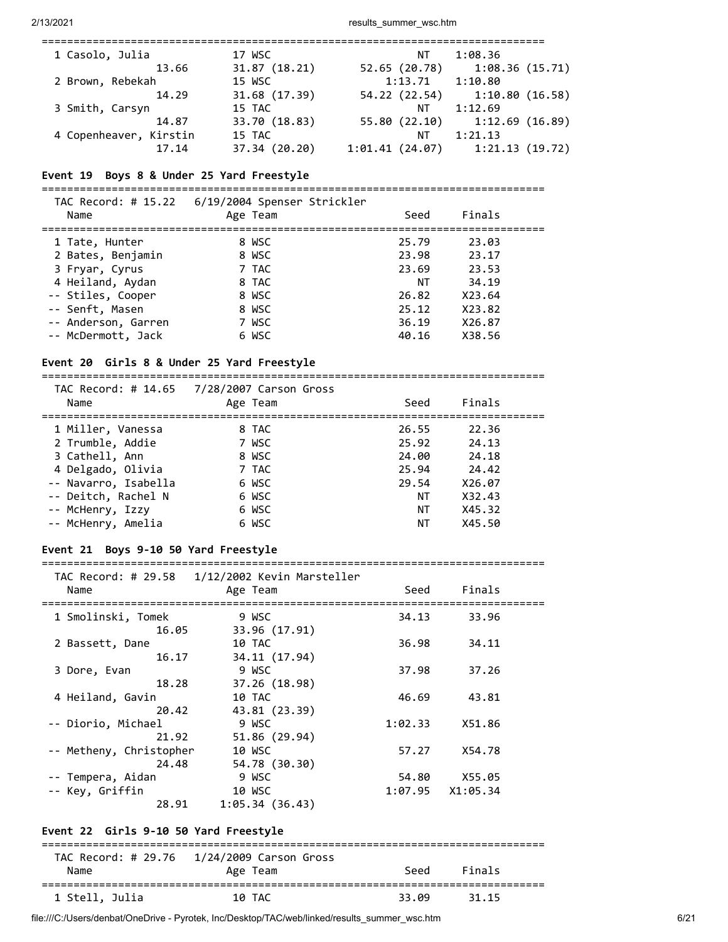| 1 Casolo, Julia        | 17 WSC        | ΝT             | 1:08.36        |
|------------------------|---------------|----------------|----------------|
| 13.66                  | 31.87(18.21)  | 52.65 (20.78)  | 1:08.36(15.71) |
| 2 Brown, Rebekah       | 15 WSC        | 1:13.71        | 1:10.80        |
| 14.29                  | 31.68 (17.39) | 54.22 (22.54)  | 1:10.80(16.58) |
| 3 Smith, Carsyn        | 15 TAC        | ΝT             | 1:12.69        |
| 14.87                  | 33.70 (18.83) | 55.80 (22.10)  | 1:12.69(16.89) |
| 4 Copenheaver, Kirstin | 15 TAC        | ΝT             | 1:21.13        |
| 17.14                  | 37.34 (20.20) | 1:01.41(24.07) | 1:21.13(19.72) |
|                        |               |                |                |

#### **Event 19 Boys 8 & Under 25 Yard Freestyle**

===============================================================================  $TAC$  Record:  $H15.22 \div 6/19/2004$  Spenser Strickler

| Name                                      | Age Team       | Seed           | Finals           |  |
|-------------------------------------------|----------------|----------------|------------------|--|
| 1 Tate, Hunter                            | 8 WSC          | 25.79<br>23.98 | 23.03            |  |
| 2 Bates, Benjamin<br>3 Fryar, Cyrus       | 8 WSC<br>7 TAC | 23.69          | 23.17<br>23.53   |  |
| 4 Heiland, Aydan<br>-- Stiles, Cooper     | 8 TAC<br>8 WSC | ΝT<br>26.82    | 34.19<br>X23.64  |  |
| -- Senft, Masen                           | 8 WSC          | 25.12          | X23.82           |  |
| -- Anderson, Garren<br>-- McDermott, Jack | 7 WSC<br>6 WSC | 36.19<br>40.16 | X26.87<br>X38.56 |  |
|                                           |                |                |                  |  |

### **Event 20 Girls 8 & Under 25 Yard Freestyle**

=============================================================================== TAC Record: # 14.65 7/28/2007 Carson Gross Name **Age Team** Age Team Seed Finals =============================================================================== 1 Miller, Vanessa 8 TAC 26.55 22.36 2 Trumble, Addie 7 WSC 25.92 24.13 3 Cathell, Ann 8 WSC 24.00 24.18 4 Delgado, Olivia 7 TAC 25.94 24.42 -- Navarro, Isabella 6 WSC -- Deitch, Rachel N 6 WSC NT X32.43 -- McHenry, Izzy 6 WSC NT X45.32 -- McHenry, Amelia 6 WSC NT X45.50

# **Event 21 Boys 9-10 50 Yard Freestyle**

=============================================================================== TAC Record: # 29.58 1/12/2002 Kevin Marsteller

| 10 TAC                            | 36.98                              | 34.11         |                 |
|-----------------------------------|------------------------------------|---------------|-----------------|
| 34.11 (17.94)                     |                                    |               |                 |
| 9 WSC                             | 37.98                              | 37.26         |                 |
| 37.26 (18.98)                     |                                    |               |                 |
| 10 TAC                            | 46.69                              | 43.81         |                 |
| 43.81 (23.39)                     |                                    |               |                 |
| 9 WSC                             | 1:02.33                            | X51.86        |                 |
| 51.86 (29.94)                     |                                    |               |                 |
| -- Metheny, Christopher<br>10 WSC | 57.27                              | X54.78        |                 |
| 54.78 (30.30)                     |                                    |               |                 |
| 9 WSC                             | 54.80                              | X55.05        |                 |
| 10 WSC                            | 1:07.95                            | X1:05.34      |                 |
| 1:05.34(36.43)                    |                                    |               |                 |
|                                   | Age Team<br>9 WSC<br>33.96 (17.91) | Seed<br>34.13 | Finals<br>33.96 |

### **Event 22 Girls 9-10 50 Yard Freestyle**

| Name           | TAC Record: # 29.76 1/24/2009 Carson Gross<br>Age Team | Seed  | Finals |  |
|----------------|--------------------------------------------------------|-------|--------|--|
| 1 Stell, Julia | 10 TAC                                                 | 33.09 | 31.15  |  |

file:///C:/Users/denbat/OneDrive - Pyrotek, Inc/Desktop/TAC/web/linked/results\_summer\_wsc.htm 6/21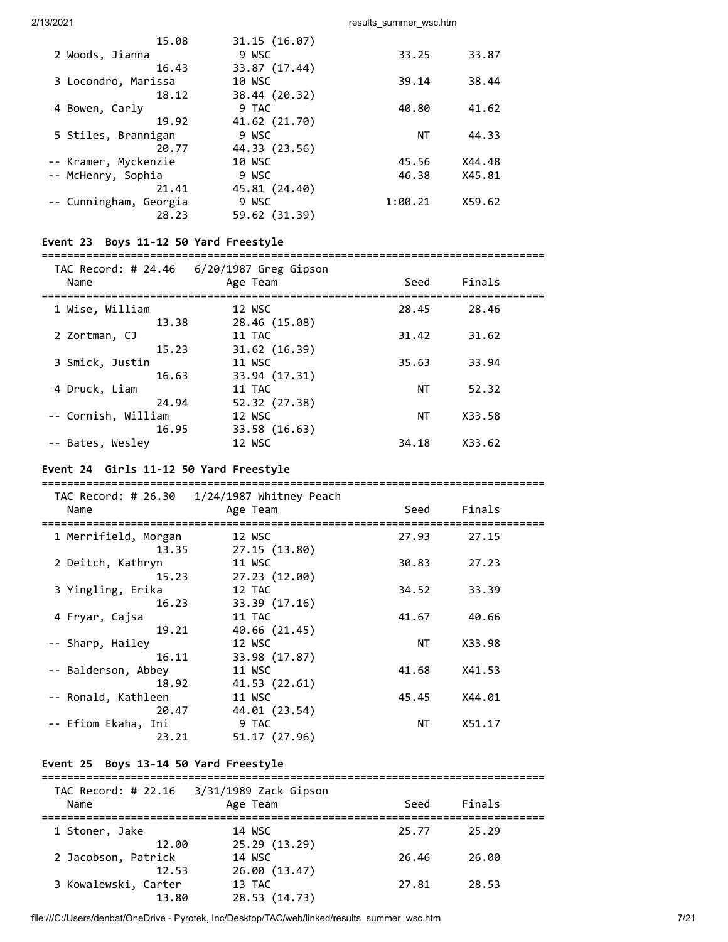| 15.08                  | 31.15(16.07)  |         |        |
|------------------------|---------------|---------|--------|
| 2 Woods, Jianna        | 9 WSC         | 33.25   | 33.87  |
| 16.43                  | 33.87 (17.44) |         |        |
| 3 Locondro, Marissa    | 10 WSC        | 39.14   | 38.44  |
| 18.12                  | 38.44 (20.32) |         |        |
| 4 Bowen, Carly         | 9 TAC         | 40.80   | 41.62  |
| 19.92                  | 41.62 (21.70) |         |        |
| 5 Stiles, Brannigan    | 9 WSC         | ΝT      | 44.33  |
| 20.77                  | 44.33 (23.56) |         |        |
| -- Kramer, Myckenzie   | 10 WSC        | 45.56   | X44.48 |
| -- McHenry, Sophia     | 9 WSC         | 46.38   | X45.81 |
| 21.41                  | 45.81 (24.40) |         |        |
| -- Cunningham, Georgia | 9 WSC         | 1:00.21 | X59.62 |
| 28.23                  | 59.62 (31.39) |         |        |

### **Event 23 Boys 11-12 50 Yard Freestyle**

#### ===============================================================================

| TAC Record: # 24.46<br>Name  | 6/20/1987 Greg Gipson<br>Age Team | Seed  | Finals |  |
|------------------------------|-----------------------------------|-------|--------|--|
| 1 Wise, William<br>13.38     | 12 WSC<br>28.46 (15.08)           | 28.45 | 28.46  |  |
| 2 Zortman, CJ<br>15.23       | 11 TAC                            | 31.42 | 31.62  |  |
| 3 Smick, Justin              | 31.62(16.39)<br>11 WSC            | 35.63 | 33.94  |  |
| 16.63<br>4 Druck, Liam       | 33.94 (17.31)<br>11 TAC           | NΤ    | 52.32  |  |
| 24.94<br>-- Cornish, William | 52.32 (27.38)<br>12 WSC           | NΤ    | X33.58 |  |
| 16.95<br>-- Bates, Wesley    | 33.58 (16.63)<br>12 WSC           | 34.18 | X33.62 |  |

===============================================================================

### **Event 24 Girls 11-12 50 Yard Freestyle**

|                                        | TAC Record: # 26.30  1/24/1987 Whitney Peach |       |        |  |
|----------------------------------------|----------------------------------------------|-------|--------|--|
| Name<br>============================== | Age Team                                     | Seed  | Finals |  |
| 1 Merrifield, Morgan                   | 12 WSC                                       | 27.93 | 27.15  |  |
| 13.35                                  | 27.15 (13.80)                                |       |        |  |
| 2 Deitch, Kathryn                      | 11 WSC                                       | 30.83 | 27.23  |  |
| 15.23                                  | 27.23 (12.00)                                |       |        |  |
| 3 Yingling, Erika                      | 12 TAC                                       | 34.52 | 33.39  |  |
| 16.23                                  | 33.39(17.16)                                 |       |        |  |
| 4 Fryar, Cajsa                         | 11 TAC                                       | 41.67 | 40.66  |  |
| 19.21                                  | 40.66 (21.45)                                |       |        |  |
| -- Sharp, Hailey                       | 12 WSC                                       | NT    | X33.98 |  |
| 16.11                                  | 33.98 (17.87)                                |       |        |  |
| -- Balderson, Abbey                    | 11 WSC                                       | 41.68 | X41.53 |  |
| 18.92                                  | 41.53 (22.61)                                |       |        |  |
| -- Ronald, Kathleen                    | 11 WSC                                       | 45.45 | X44.01 |  |
| 20.47                                  | 44.01 (23.54)                                |       |        |  |
| -- Efiom Ekaha, Ini                    | 9 TAC                                        | NT    | X51.17 |  |
| 23.21                                  | 51.17 (27.96)                                |       |        |  |

### **Event 25 Boys 13-14 50 Yard Freestyle**

| 3/31/1989 Zack Gipson |       |        |  |
|-----------------------|-------|--------|--|
| Age Team              | Seed  | Finals |  |
|                       |       |        |  |
| 14 WSC                | 25.77 | 25.29  |  |
| 25.29 (13.29)         |       |        |  |
| 14 WSC                | 26.46 | 26.00  |  |
| 26.00 (13.47)         |       |        |  |
| 13 TAC                | 27.81 | 28.53  |  |
| 28.53 (14.73)         |       |        |  |
|                       |       |        |  |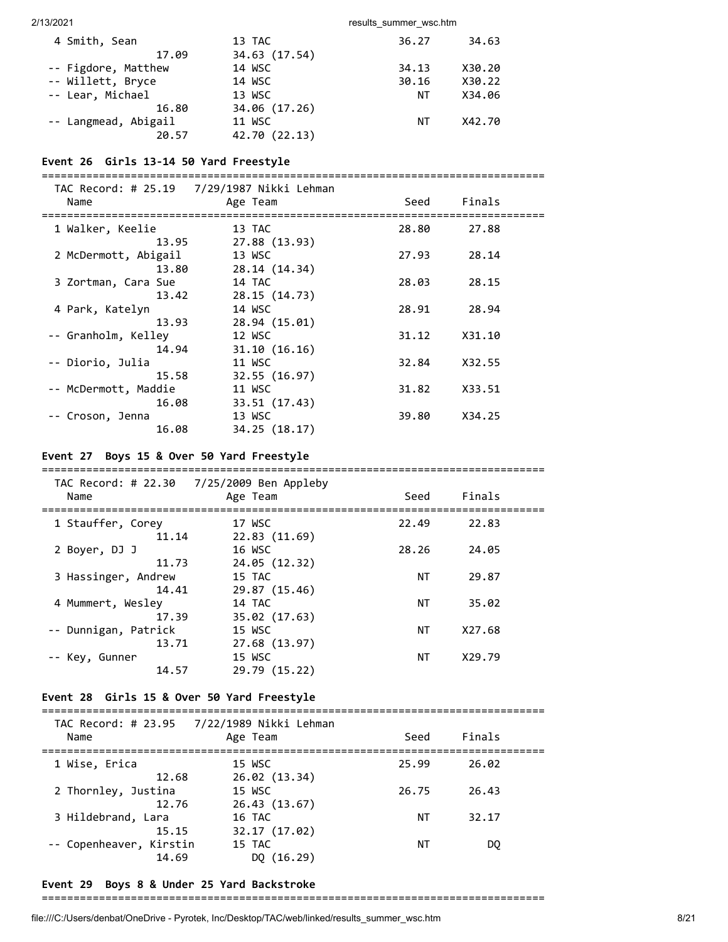| 4 Smith, Sean        | 13 TAC        | 36.27 | 34.63  |
|----------------------|---------------|-------|--------|
| 17.09                | 34.63 (17.54) |       |        |
| -- Figdore, Matthew  | 14 WSC        | 34.13 | X30.20 |
| -- Willett, Bryce    | 14 WSC        | 30.16 | X30.22 |
| -- Lear, Michael     | 13 WSC        | ΝT    | X34.06 |
| 16.80                | 34.06 (17.26) |       |        |
| -- Langmead, Abigail | 11 WSC        | ΝT    | X42.70 |
| 20.57                | 42.70 (22.13) |       |        |

### **Event 26 Girls 13-14 50 Yard Freestyle**

| Name                 | Age Team      | Seed  | Finals |  |
|----------------------|---------------|-------|--------|--|
| 1 Walker, Keelie     | 13 TAC        | 28.80 | 27.88  |  |
| 13.95                | 27.88 (13.93) |       |        |  |
| 2 McDermott, Abigail | 13 WSC        | 27.93 | 28.14  |  |
| 13.80                | 28.14 (14.34) |       |        |  |
| 3 Zortman, Cara Sue  | 14 TAC        | 28.03 | 28.15  |  |
| 13.42                | 28.15 (14.73) |       |        |  |
| 4 Park, Katelyn      | 14 WSC        | 28.91 | 28.94  |  |
| 13.93                | 28.94 (15.01) |       |        |  |
| -- Granholm, Kelley  | 12 WSC        | 31.12 | X31.10 |  |
| 14.94                | 31.10(16.16)  |       |        |  |
| -- Diorio, Julia     | 11 WSC        | 32.84 | X32.55 |  |
| 15.58                | 32.55(16.97)  |       |        |  |
| -- McDermott, Maddie | 11 WSC        | 31.82 | X33.51 |  |
| 16.08                | 33.51 (17.43) |       |        |  |
| -- Croson, Jenna     | 13 WSC        | 39.80 | X34.25 |  |
| 16.08                | 34.25 (18.17) |       |        |  |

### **Event 27 Boys 15 & Over 50 Yard Freestyle**

| TAC Record: # 22.30<br>Name      | 7/25/2009 Ben Appleby<br>Age Team        | Seed  | Finals |  |
|----------------------------------|------------------------------------------|-------|--------|--|
| 1 Stauffer, Corey<br>11.14       | 17 WSC<br>22.83(11.69)                   | 22.49 | 22.83  |  |
| 2 Bover, DJ J<br>11.73           | 16 WSC<br>24.05 (12.32)                  | 28.26 | 24.05  |  |
| 3 Hassinger, Andrew<br>14.41     | 15 TAC<br>29.87 (15.46)                  | NΤ    | 29.87  |  |
| 4 Mummert, Wesley                | 14 TAC                                   | ΝT    | 35.02  |  |
| 17.39<br>-- Dunnigan, Patrick    | 35.02 (17.63)<br>15 WSC                  | ΝT    | X27.68 |  |
| 13.71<br>-- Key, Gunner<br>14.57 | 27.68 (13.97)<br>15 WSC<br>29.79 (15.22) | NΤ    | X29.79 |  |

#### **Event 28 Girls 15 & Over 50 Yard Freestyle**

| Name                             | TAC Record: # 23.95 7/22/1989 Nikki Lehman<br>Age Team | Seed  | Finals |
|----------------------------------|--------------------------------------------------------|-------|--------|
| 1 Wise, Erica<br>12.68           | 15 WSC<br>26.02(13.34)                                 | 25.99 | 26.02  |
| 2 Thornley, Justina<br>12.76     | 15 WSC<br>26.43 (13.67)                                | 26.75 | 26.43  |
| 3 Hildebrand, Lara<br>15.15      | 16 TAC<br>32.17 (17.02)                                | ΝT    | 32.17  |
| -- Copenheaver, Kirstin<br>14.69 | 15 TAC<br>DO $(16.29)$                                 | ΝT    | DO     |

### **Event 29 Boys 8 & Under 25 Yard Backstroke**

#### ===============================================================================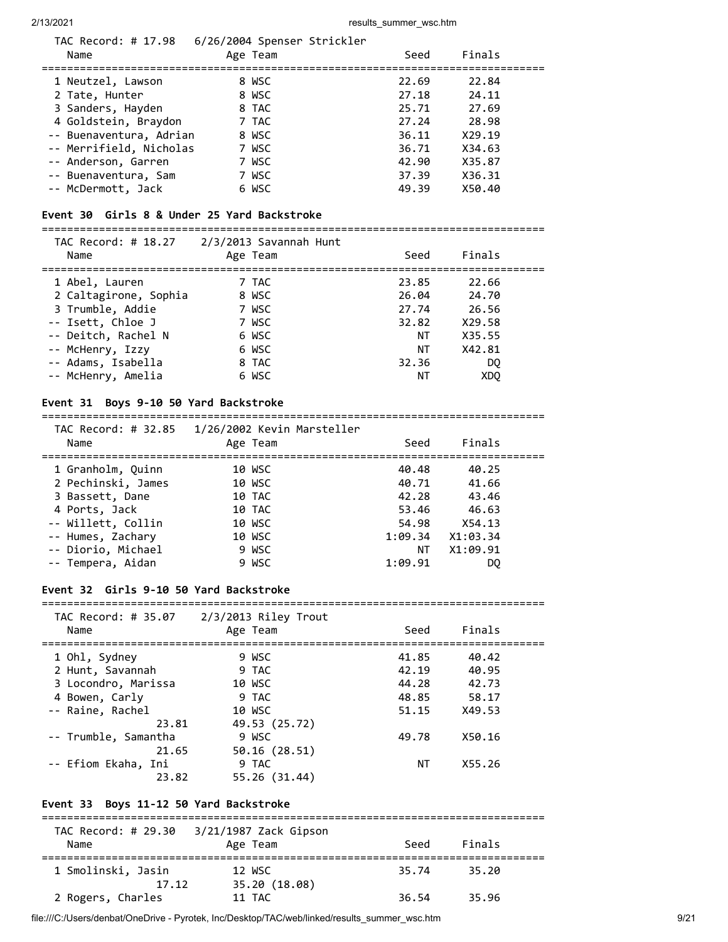| TAC Record: # 17.98<br>Name                                                                                                                                                           | 6/26/2004 Spenser Strickler<br>Age Team                              | Seed                                                                 | Finals                                                                   |
|---------------------------------------------------------------------------------------------------------------------------------------------------------------------------------------|----------------------------------------------------------------------|----------------------------------------------------------------------|--------------------------------------------------------------------------|
| 1 Neutzel, Lawson<br>2 Tate, Hunter<br>3 Sanders, Hayden<br>4 Goldstein, Braydon<br>-- Buenaventura, Adrian<br>-- Merrifield, Nicholas<br>-- Anderson, Garren<br>-- Buenaventura, Sam | 8 WSC<br>8 WSC<br>8 TAC<br>7 TAC<br>8 WSC<br>7 WSC<br>7 WSC<br>7 WSC | 22.69<br>27.18<br>25.71<br>27.24<br>36.11<br>36.71<br>42.90<br>37.39 | 22.84<br>24.11<br>27.69<br>28.98<br>X29.19<br>X34.63<br>X35.87<br>X36.31 |
| -- McDermott, Jack                                                                                                                                                                    | 6 WSC                                                                | 49.39                                                                | X50.40                                                                   |

### **Event 30 Girls 8 & Under 25 Yard Backstroke**

===============================================================================

| Name                  | TAC Record: # 18.27 2/3/2013 Savannah Hunt<br>Age Team | Seed  | Finals          |  |
|-----------------------|--------------------------------------------------------|-------|-----------------|--|
| 1 Abel, Lauren        | 7 TAC                                                  | 23.85 | 22.66           |  |
| 2 Caltagirone, Sophia | 8 WSC                                                  | 26.04 | 24.70           |  |
| 3 Trumble, Addie      | 7 WSC                                                  | 27.74 | 26.56           |  |
| -- Isett, Chloe J     | 7 WSC                                                  | 32.82 | X29.58          |  |
| -- Deitch, Rachel N   | 6 WSC                                                  | NΤ    | X35.55          |  |
| -- McHenry, Izzy      | 6 WSC                                                  | ΝT    | X42.81          |  |
| -- Adams, Isabella    | 8 TAC                                                  | 32.36 | DO.             |  |
| -- McHenry, Amelia    | 6 WSC                                                  | NΤ    | XD <sub>0</sub> |  |

### **Event 31 Boys 9-10 50 Yard Backstroke**

#### ===============================================================================  $TAC$  Becand:  $\#$  32.85  $\#$  1/26/2002 Kevin Manstell

| Name               | Age Team | Seed    | Finals   |  |
|--------------------|----------|---------|----------|--|
| 1 Granholm, Quinn  | 10 WSC   | 40.48   | 40.25    |  |
| 2 Pechinski, James | 10 WSC   | 40.71   | 41.66    |  |
| 3 Bassett, Dane    | 10 TAC   | 42.28   | 43.46    |  |
| 4 Ports, Jack      | 10 TAC   | 53.46   | 46.63    |  |
| -- Willett, Collin | 10 WSC   | 54.98   | X54.13   |  |
| -- Humes, Zachary  | 10 WSC   | 1:09.34 | X1:03.34 |  |
| -- Diorio, Michael | 9 WSC    | ΝT      | X1:09.91 |  |
| -- Tempera, Aidan  | 9 WSC    | 1:09.91 | DO.      |  |

#### **Event 32 Girls 9-10 50 Yard Backstroke**

#### ===============================================================================  $TAC$  Record:  $\#$  35.07 2/3/2013 Riley Trout

| Name                 | Age Team      | Seed  | Finals |  |
|----------------------|---------------|-------|--------|--|
| 1 Ohl, Sydney        | 9 WSC         | 41.85 | 40.42  |  |
| 2 Hunt, Savannah     | 9 TAC         | 42.19 | 40.95  |  |
| 3 Locondro, Marissa  | 10 WSC        | 44.28 | 42.73  |  |
| 4 Bowen, Carly       | 9 TAC         | 48.85 | 58.17  |  |
| -- Raine, Rachel     | 10 WSC        | 51.15 | X49.53 |  |
| 23.81                | 49.53 (25.72) |       |        |  |
| -- Trumble, Samantha | 9 WSC         | 49.78 | X50.16 |  |
| 21.65                | 50.16 (28.51) |       |        |  |
| -- Efiom Ekaha, Ini  | 9 TAC         | NΤ    | X55.26 |  |
| 23.82                | 55.26 (31.44) |       |        |  |
|                      |               |       |        |  |

### **Event 33 Boys 11-12 50 Yard Backstroke**

| TAC Record: # 29.30 | 3/21/1987 Zack Gipson |       |        |  |
|---------------------|-----------------------|-------|--------|--|
| Name                | Age Team              | Seed  | Finals |  |
|                     |                       |       |        |  |
| 1 Smolinski, Jasin  | 12 WSC                | 35.74 | 35.20  |  |
| 17.12               | 35.20 (18.08)         |       |        |  |
| 2 Rogers, Charles   | 11 TAC                | 36.54 | 35.96  |  |

file:///C:/Users/denbat/OneDrive - Pyrotek, Inc/Desktop/TAC/web/linked/results\_summer\_wsc.htm 9/21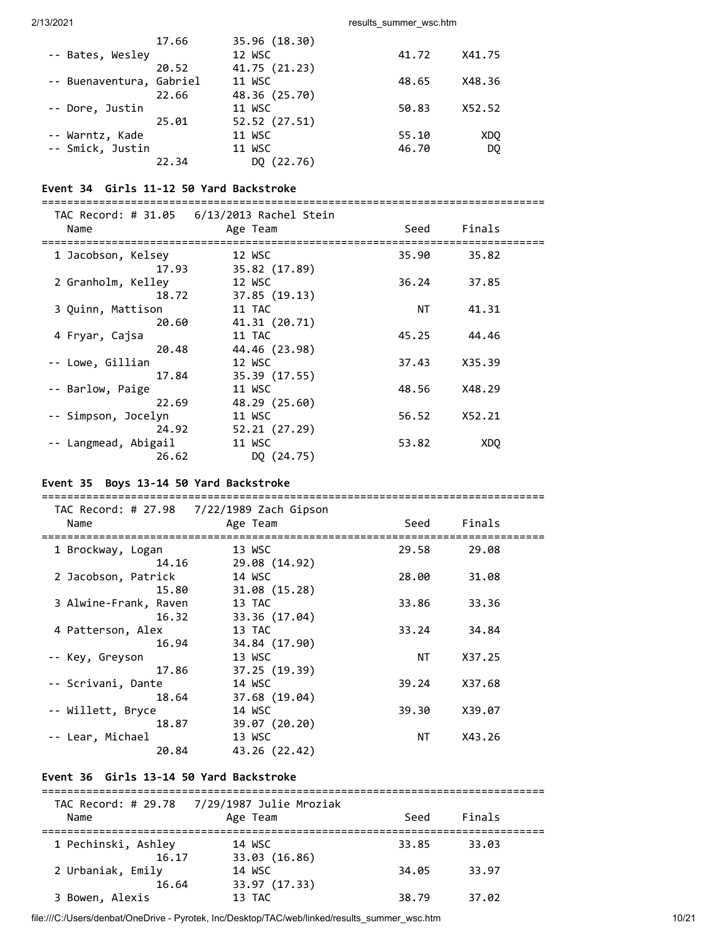|                          | 17.66 | 35.96 (18.30) |       |        |
|--------------------------|-------|---------------|-------|--------|
| -- Bates, Wesley         |       | 12 WSC        | 41.72 | X41.75 |
|                          | 20.52 | 41.75 (21.23) |       |        |
| -- Buenaventura, Gabriel |       | 11 WSC        | 48.65 | X48.36 |
|                          | 22.66 | 48.36 (25.70) |       |        |
| -- Dore, Justin          |       | 11 WSC        | 50.83 | X52.52 |
|                          | 25.01 | 52.52 (27.51) |       |        |
| -- Warntz, Kade          |       | 11 WSC        | 55.10 | XDO    |
| -- Smick, Justin         |       | 11 WSC        | 46.70 | DQ     |
|                          | 22.34 | DQ (22.76)    |       |        |

### **Event 34 Girls 11-12 50 Yard Backstroke**

===============================================================================

| TAC Record: # 31.05  | 6/13/2013 Rachel Stein |       |        |  |
|----------------------|------------------------|-------|--------|--|
| Name                 | Age Team               | Seed  | Finals |  |
| 1 Jacobson, Kelsey   | 12 WSC                 | 35.90 | 35.82  |  |
| 17.93                | 35.82 (17.89)          |       |        |  |
| 2 Granholm, Kelley   | 12 WSC                 | 36.24 | 37.85  |  |
| 18.72                | 37.85(19.13)           |       |        |  |
| 3 Quinn, Mattison    | 11 TAC                 | ΝT    | 41.31  |  |
| 20.60                | 41.31 (20.71)          |       |        |  |
| 4 Fryar, Cajsa       | 11 TAC                 | 45.25 | 44.46  |  |
| 20.48                | 44.46 (23.98)          |       |        |  |
| -- Lowe, Gillian     | 12 WSC                 | 37.43 | X35.39 |  |
| 17.84                | 35.39 (17.55)          |       |        |  |
| -- Barlow, Paige     | 11 WSC                 | 48.56 | X48.29 |  |
| 22.69                | 48.29 (25.60)          |       |        |  |
| -- Simpson, Jocelyn  | 11 WSC                 | 56.52 | X52.21 |  |
| 24.92                | 52.21(27.29)           |       |        |  |
| -- Langmead, Abigail | 11 WSC                 | 53.82 | XDO    |  |
| 26.62                | DQ (24.75)             |       |        |  |

### **Event 35 Boys 13-14 50 Yard Backstroke**

|                       | TAC Record: # 27.98  7/22/1989 Zach Gipson |       |        |
|-----------------------|--------------------------------------------|-------|--------|
| Name                  | Age Team                                   | Seed  | Finals |
|                       |                                            |       |        |
| 1 Brockway, Logan     | 13 WSC                                     | 29.58 | 29.08  |
| 14.16                 | 29.08 (14.92)                              |       |        |
| 2 Jacobson, Patrick   | 14 WSC                                     | 28.00 | 31.08  |
| 15.80                 | 31.08 (15.28)                              |       |        |
| 3 Alwine-Frank, Raven | 13 TAC                                     | 33.86 | 33.36  |
| 16.32                 | 33.36 (17.04)                              |       |        |
| 4 Patterson, Alex     | 13 TAC                                     | 33.24 | 34.84  |
| 16.94                 | 34.84 (17.90)                              |       |        |
| -- Key, Greyson       | 13 WSC                                     | NΤ    | X37.25 |
| 17.86                 | 37.25 (19.39)                              |       |        |
| -- Scrivani, Dante    | 14 WSC                                     | 39.24 | X37.68 |
| 18.64                 | 37.68 (19.04)                              |       |        |
| -- Willett, Bryce     | 14 WSC                                     | 39.30 | X39.07 |
| 18.87                 | 39.07 (20.20)                              |       |        |
| -- Lear, Michael      | 13 WSC                                     | NΤ    | X43.26 |
| 20.84                 | 43.26 (22.42)                              |       |        |

### **Event 36 Girls 13-14 50 Yard Backstroke**

| Name                | Age Team      | Seed  | Finals |  |
|---------------------|---------------|-------|--------|--|
|                     |               |       |        |  |
| 1 Pechinski, Ashley | 14 WSC        | 33.85 | 33.03  |  |
| 16.17               | 33.03 (16.86) |       |        |  |
| 2 Urbaniak, Emily   | 14 WSC        | 34.05 | 33.97  |  |
| 16.64               | 33.97 (17.33) |       |        |  |
| 3 Bowen, Alexis     | 13 TAC        | 38.79 | 37.02  |  |

file:///C:/Users/denbat/OneDrive - Pyrotek, Inc/Desktop/TAC/web/linked/results\_summer\_wsc.htm 10/21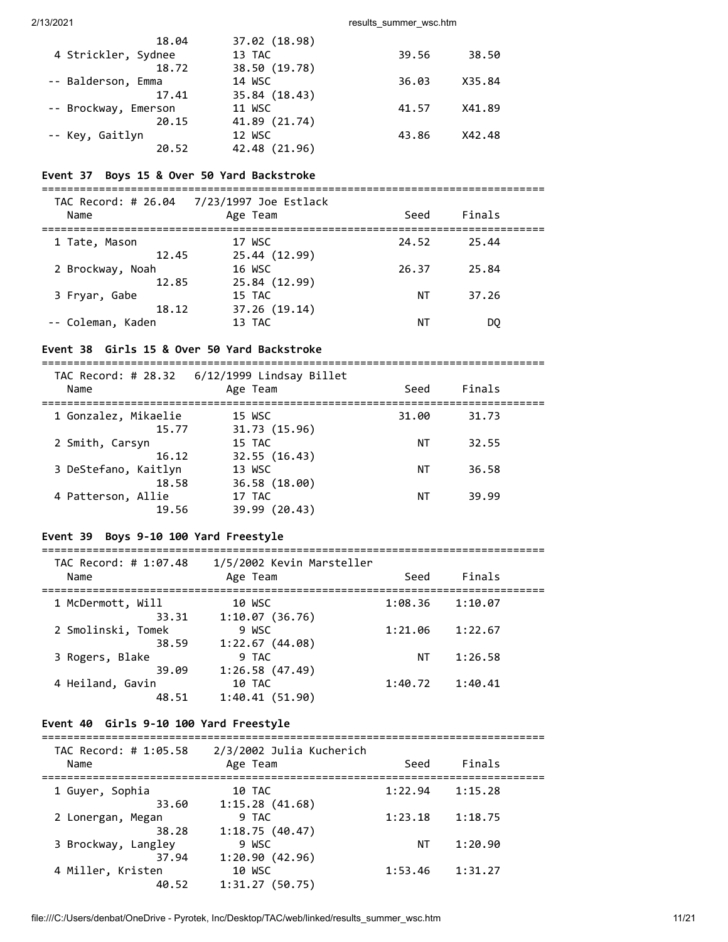| 18.04                | 37.02 (18.98) |       |        |
|----------------------|---------------|-------|--------|
| 4 Strickler, Sydnee  | 13 TAC        | 39.56 | 38.50  |
| 18.72                | 38.50 (19.78) |       |        |
| -- Balderson, Emma   | 14 WSC        | 36.03 | X35.84 |
| 17.41                | 35.84 (18.43) |       |        |
| -- Brockway, Emerson | 11 WSC        | 41.57 | X41.89 |
| 20.15                | 41.89 (21.74) |       |        |
| -- Key, Gaitlyn      | 12 WSC        | 43.86 | X42.48 |
| 20.52                | 42.48 (21.96) |       |        |

#### **Event 37 Boys 15 & Over 50 Yard Backstroke**

===============================================================================

| Name                      | TAC Record: # 26.04 7/23/1997 Joe Estlack<br>Age Team | Seed  | Finals |  |
|---------------------------|-------------------------------------------------------|-------|--------|--|
| 1 Tate, Mason<br>12.45    | 17 WSC<br>25.44 (12.99)                               | 24.52 | 25.44  |  |
| 2 Brockway, Noah<br>12.85 | 16 WSC<br>25.84 (12.99)                               | 26.37 | 25.84  |  |
| 3 Fryar, Gabe<br>18.12    | 15 TAC<br>37.26 (19.14)                               | ΝT    | 37.26  |  |
| -- Coleman, Kaden         | 13 TAC                                                | ΝT    | DO     |  |

#### **Event 38 Girls 15 & Over 50 Yard Backstroke**

===============================================================================

| TAC Record: # 28.32<br>Name | 6/12/1999 Lindsay Billet<br>Age Team | Seed  | Finals |  |
|-----------------------------|--------------------------------------|-------|--------|--|
| 1 Gonzalez, Mikaelie        | 15 WSC                               | 31.00 | 31.73  |  |
| 15.77                       | 31.73 (15.96)                        |       |        |  |
| 2 Smith, Carsyn             | 15 TAC                               | ΝT    | 32.55  |  |
| 16.12                       | 32.55 (16.43)                        |       |        |  |
| 3 DeStefano, Kaitlyn        | 13 WSC                               | ΝT    | 36.58  |  |
| 18.58                       | 36.58 (18.00)                        |       |        |  |
| 4 Patterson, Allie          | 17 TAC                               | ΝT    | 39.99  |  |
| 19.56                       | 39.99 (20.43)                        |       |        |  |

### **Event 39 Boys 9-10 100 Yard Freestyle**

#### ===============================================================================

| TAC Record: # 1:07.48<br>Name | 1/5/2002 Kevin Marsteller<br>Age Team      | Seed    | Finals  |
|-------------------------------|--------------------------------------------|---------|---------|
| 1 McDermott, Will<br>33.31    | 10 WSC<br>1:10.07(36.76)                   | 1:08.36 | 1:10.07 |
| 2 Smolinski, Tomek<br>38.59   | 9 WSC<br>1:22.67(44.08)                    | 1:21.06 | 1:22.67 |
| 3 Rogers, Blake<br>39.09      | 9 TAC                                      | ΝT      | 1:26.58 |
| 4 Heiland, Gavin<br>48.51     | 1:26.58(47.49)<br>10 TAC<br>1:40.41(51.90) | 1:40.72 | 1:40.41 |

#### **Event 40 Girls 9-10 100 Yard Freestyle**

#### ===============================================================================

|         | Finals  |  |
|---------|---------|--|
| 1:22.94 | 1:15.28 |  |
| 1:23.18 | 1:18.75 |  |
| ΝT      | 1:20.90 |  |
| 1:53.46 | 1:31.27 |  |
|         | Seed    |  |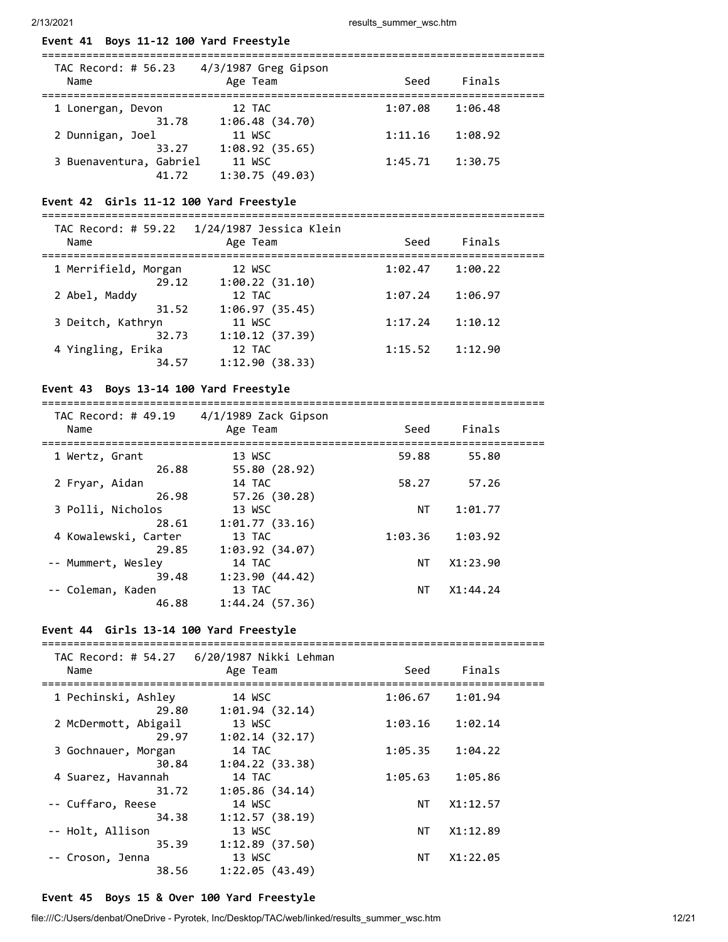### **Event 41 Boys 11-12 100 Yard Freestyle**

| TAC Record: # 56.23<br>Name | 4/3/1987 Greg Gipson<br>Age Team  | Seed    | Finals  |  |
|-----------------------------|-----------------------------------|---------|---------|--|
| 1 Lonergan, Devon           | 12 TAC<br>1:06.48(34.70)<br>31.78 | 1:07.08 | 1:06.48 |  |
| 2 Dunnigan, Joel            | 11 WSC<br>1:08.92(35.65)<br>33.27 | 1:11.16 | 1:08.92 |  |
| 3 Buenaventura, Gabriel     | 11 WSC<br>1:30.75(49.03)<br>41.72 | 1:45.71 | 1:30.75 |  |

### **Event 42 Girls 11-12 100 Yard Freestyle**

=============================================================================== TAC Record: # 59.22 1/24/1987 Jessica Klein

| Name                                | IAC RECOLU: T JJ:22 L/24/1J07 JESSICA RIEIN<br>Age Team | Seed    | Finals  |  |
|-------------------------------------|---------------------------------------------------------|---------|---------|--|
| 1 Merrifield, Morgan<br>29.12       | 12 WSC<br>1:00.22(31.10)                                | 1:02.47 | 1:00.22 |  |
| 2 Abel, Maddy                       | 12 TAC                                                  | 1:07.24 | 1:06.97 |  |
| 31.52<br>3 Deitch, Kathryn          | 1:06.97(35.45)<br>11 WSC                                | 1:17.24 | 1:10.12 |  |
| 32.73<br>4 Yingling, Erika<br>34.57 | 1:10.12(37.39)<br>12 TAC<br>1:12.90(38.33)              | 1:15.52 | 1:12.90 |  |
|                                     |                                                         |         |         |  |

#### **Event 43 Boys 13-14 100 Yard Freestyle**

===============================================================================  $TAC$  Becord: # 40.10  $A/1/1090$  Zack Giv

| 4/1/1989 Zack Gipson<br>Age Team | Seed      | Finals   |  |
|----------------------------------|-----------|----------|--|
| 13 WSC                           | 59.88     | 55.80    |  |
| 55.80 (28.92)                    |           |          |  |
| 14 TAC                           | 58.27     | 57.26    |  |
| 57.26(30.28)                     |           |          |  |
| 13 WSC                           | <b>NT</b> | 1:01.77  |  |
| 1:01.77(33.16)                   |           |          |  |
| 13 TAC                           | 1:03.36   | 1:03.92  |  |
| 1:03.92(34.07)                   |           |          |  |
| 14 TAC                           | ΝT        | X1:23.90 |  |
| 1:23.90(44.42)                   |           |          |  |
| 13 TAC                           | NΤ        | X1:44.24 |  |
| 1:44.24(57.36)                   |           |          |  |
|                                  |           |          |  |

### **Event 44 Girls 13-14 100 Yard Freestyle**

| Name                                              | Age Team       | Seed    | Finals              |  |
|---------------------------------------------------|----------------|---------|---------------------|--|
| --------------------------<br>1 Pechinski, Ashley | 14 WSC         |         | $1:06.67$ $1:01.94$ |  |
| 29.80                                             | 1:01.94(32.14) |         |                     |  |
| 2 McDermott, Abigail                              | 13 WSC         | 1:03.16 | 1:02.14             |  |
| 29.97                                             | 1:02.14(32.17) |         |                     |  |
| 3 Gochnauer, Morgan                               | 14 TAC         | 1:05.35 | 1:04.22             |  |
| 30.84                                             | 1:04.22(33.38) |         |                     |  |
| 4 Suarez, Havannah                                | 14 TAC         | 1:05.63 | 1:05.86             |  |
| 31.72                                             | 1:05.86(34.14) |         |                     |  |
| -- Cuffaro, Reese                                 | 14 WSC         | NT      | X1:12.57            |  |
| 34.38                                             | 1:12.57(38.19) |         |                     |  |
| -- Holt, Allison                                  | 13 WSC         | NT      | X1:12.89            |  |
| 35.39                                             | 1:12.89(37.50) |         |                     |  |
| -- Croson, Jenna                                  | 13 WSC         | NT .    | X1:22.05            |  |
| 38.56                                             | 1:22.05(43.49) |         |                     |  |

### **Event 45 Boys 15 & Over 100 Yard Freestyle**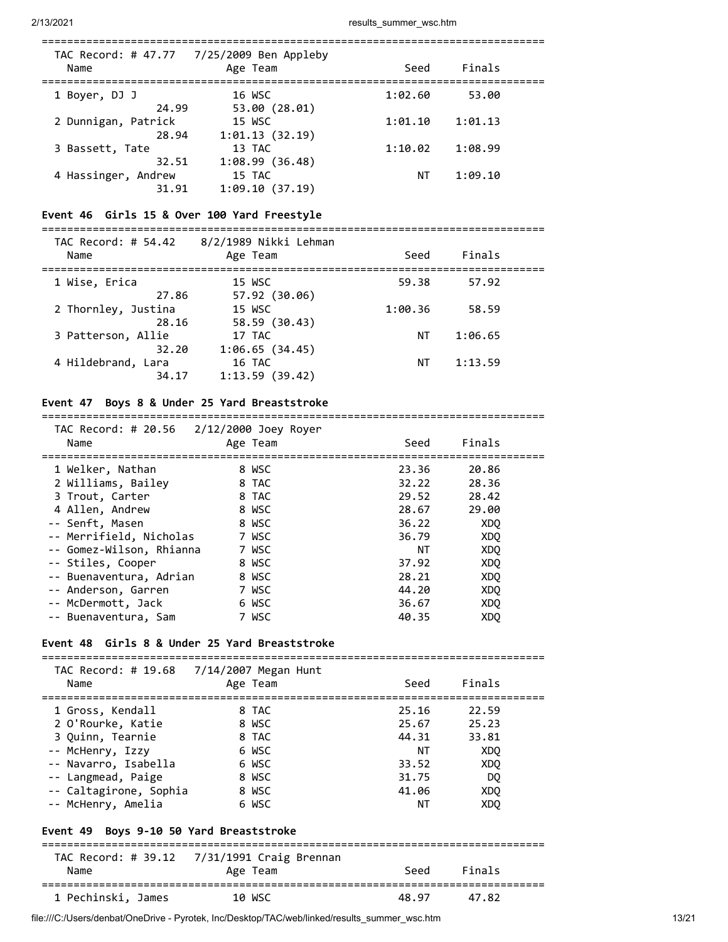| Name                         | TAC Record: # 47.77 7/25/2009 Ben Appleby<br>Age Team | Seed    | Finals  |  |
|------------------------------|-------------------------------------------------------|---------|---------|--|
| 1 Boyer, DJ J<br>24.99       | 16 WSC<br>53.00(28.01)                                | 1:02.60 | 53.00   |  |
| 2 Dunnigan, Patrick<br>28.94 | 15 WSC<br>1:01.13(32.19)                              | 1:01.10 | 1:01.13 |  |
| 3 Bassett, Tate<br>32.51     | 13 TAC<br>1:08.99(36.48)                              | 1:10.02 | 1:08.99 |  |
| 4 Hassinger, Andrew<br>31.91 | 15 TAC<br>1:09.10(37.19)                              | ΝT      | 1:09.10 |  |

#### **Event 46 Girls 15 & Over 100 Yard Freestyle**

===============================================================================

| Age Team                 | Seed                                                                      | Finals  |  |
|--------------------------|---------------------------------------------------------------------------|---------|--|
| 15 WSC                   | 59.38                                                                     | 57.92   |  |
| 15 WSC                   | 1:00.36                                                                   | 58.59   |  |
| 17 TAC                   | ΝT                                                                        | 1:06.65 |  |
| 16 TAC<br>1:13.59(39.42) | ΝT                                                                        | 1:13.59 |  |
|                          | 8/2/1989 Nikki Lehman<br>57.92 (30.06)<br>58.59 (30.43)<br>1:06.65(34.45) |         |  |

### **Event 47 Boys 8 & Under 25 Yard Breaststroke**

| THE RECOT $\alpha$ , $\pi$ 20.50 $\alpha$ 2/12/2000 50EY ROYER |          |       |                 |  |
|----------------------------------------------------------------|----------|-------|-----------------|--|
| Name                                                           | Age Team | Seed  | Finals          |  |
|                                                                |          |       |                 |  |
| 1 Welker, Nathan                                               | 8 WSC    | 23.36 | 20.86           |  |
| 2 Williams, Bailey                                             | 8 TAC    | 32.22 | 28.36           |  |
| 3 Trout, Carter                                                | 8 TAC    | 29.52 | 28.42           |  |
| 4 Allen, Andrew                                                | 8 WSC    | 28.67 | 29.00           |  |
| -- Senft, Masen                                                | 8 WSC    | 36.22 | XD <sub>0</sub> |  |
| -- Merrifield, Nicholas                                        | 7 WSC    | 36.79 | XDO             |  |
| -- Gomez-Wilson, Rhianna                                       | 7 WSC    | NΤ    | XDO             |  |
| -- Stiles, Cooper                                              | 8 WSC    | 37.92 | XDO             |  |
| -- Buenaventura, Adrian                                        | 8 WSC    | 28.21 | XDQ             |  |
| -- Anderson, Garren                                            | 7 WSC    | 44.20 | XDO             |  |
| -- McDermott, Jack                                             | 6 WSC    | 36.67 | XDO             |  |
| -- Buenaventura, Sam                                           | 7 WSC    | 40.35 | XD <sub>0</sub> |  |
|                                                                |          |       |                 |  |

#### **Event 48 Girls 8 & Under 25 Yard Breaststroke**

| TAC Record: # 19.68 7/14/2007 Megan Hunt<br>Name                                                                            | Age Team                                           | Seed                                            | Finals                                      |  |
|-----------------------------------------------------------------------------------------------------------------------------|----------------------------------------------------|-------------------------------------------------|---------------------------------------------|--|
| 1 Gross, Kendall<br>2 O'Rourke, Katie<br>3 Ouinn, Tearnie<br>-- McHenry, Izzy<br>-- Navarro, Isabella<br>-- Langmead, Paige | 8 TAC<br>8 WSC<br>8 TAC<br>6 WSC<br>6 WSC<br>8 WSC | 25.16<br>25.67<br>44.31<br>NΤ<br>33.52<br>31.75 | 22.59<br>25.23<br>33.81<br>XDO<br>XDQ<br>DO |  |
| -- Caltagirone, Sophia<br>-- McHenry, Amelia<br>Event 49 Boys 9-10 50 Yard Breaststroke                                     | 8 WSC<br>6 WSC                                     | 41.06<br>NΤ                                     | XDO<br>XD <sub>0</sub>                      |  |

### TAC Record: # 39.12 7/31/1991 Craig Brennan Name Age Team Seed Finals =============================================================================== 1 Pechinski, James 10 WSC 48.97 47.82

file:///C:/Users/denbat/OneDrive - Pyrotek, Inc/Desktop/TAC/web/linked/results\_summer\_wsc.htm 13/21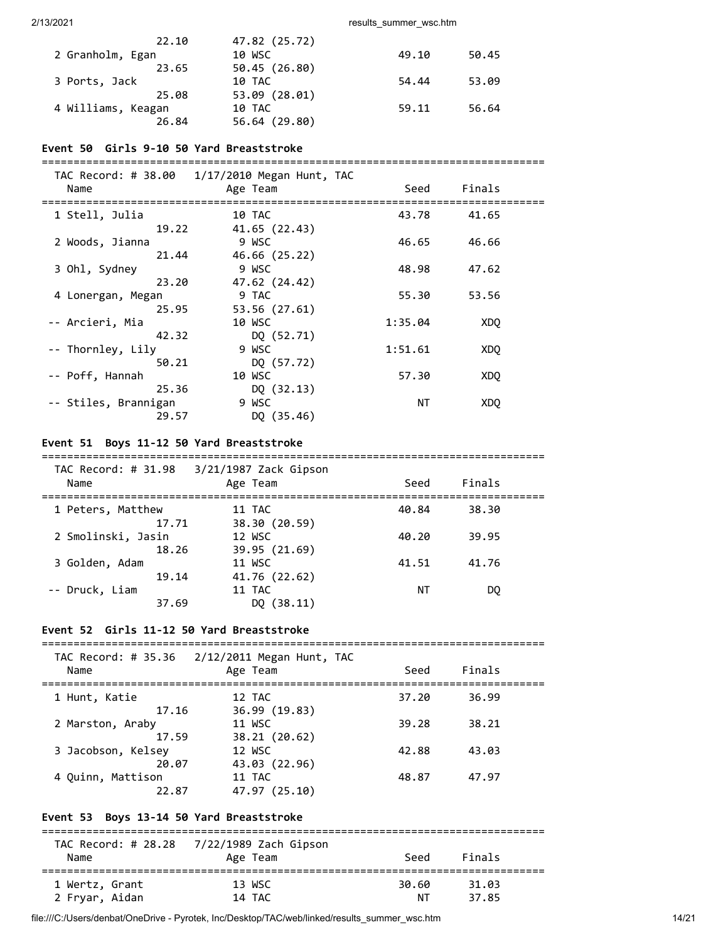| 22.10              | 47.82 (25.72) |       |       |
|--------------------|---------------|-------|-------|
| 2 Granholm, Egan   | 10 WSC        | 49.10 | 50.45 |
| 23.65              | 50.45 (26.80) |       |       |
| 3 Ports, Jack      | 10 TAC        | 54.44 | 53.09 |
| 25.08              | 53.09 (28.01) |       |       |
| 4 Williams, Keagan | 10 TAC        | 59.11 | 56.64 |
| 26.84              | 56.64 (29.80) |       |       |

#### **Event 50 Girls 9-10 50 Yard Breaststroke**

===============================================================================

| TAC Record: # 38.00  | $1/17/2010$ Megan Hunt, TAC |         |                 |  |
|----------------------|-----------------------------|---------|-----------------|--|
| Name                 | Age Team                    | Seed    | Finals          |  |
| 1 Stell, Julia       | 10 TAC                      | 43.78   | 41.65           |  |
| 19.22                | 41.65 (22.43)               |         |                 |  |
| 2 Woods, Jianna      | 9 WSC                       | 46.65   | 46.66           |  |
| 21.44                | 46.66 (25.22)               |         |                 |  |
| 3 Ohl, Sydney        | 9 WSC                       | 48.98   | 47.62           |  |
| 23.20                | 47.62 (24.42)               |         |                 |  |
| 4 Lonergan, Megan    | 9 TAC                       | 55.30   | 53.56           |  |
| 25.95                | 53.56 (27.61)               |         |                 |  |
| -- Arcieri, Mia      | 10 WSC                      | 1:35.04 | XD <sub>0</sub> |  |
| 42.32                | DQ (52.71)                  |         |                 |  |
| -- Thornley, Lily    | 9 WSC                       | 1:51.61 | XDO             |  |
| 50.21                | DQ (57.72)                  |         |                 |  |
| -- Poff, Hannah      | 10 WSC                      | 57.30   | XDO             |  |
| 25.36                | DQ(32.13)                   |         |                 |  |
| -- Stiles, Brannigan | 9 WSC                       | ΝT      | XDO             |  |
| 29.57                | DQ (35.46)                  |         |                 |  |
|                      |                             |         |                 |  |

### **Event 51 Boys 11-12 50 Yard Breaststroke**

| $1AC$ $NECO1$ $U.$ $H$ $J1.70$<br>Name | ULLOW LACK OIPSON<br>Age Team | Seed  | Finals |  |
|----------------------------------------|-------------------------------|-------|--------|--|
| 1 Peters, Matthew                      | 11 TAC                        | 40.84 | 38.30  |  |
| 17.71                                  | 38.30 (20.59)                 |       |        |  |
| 2 Smolinski, Jasin                     | 12 WSC                        | 40.20 | 39.95  |  |
| 18.26                                  | 39.95 (21.69)                 |       |        |  |
| 3 Golden, Adam                         | 11 WSC                        | 41.51 | 41.76  |  |
| 19.14                                  | 41.76 (22.62)                 |       |        |  |
| -- Druck, Liam                         | 11 TAC                        | ΝT    | DO.    |  |
| 37.69                                  | DO $(38.11)$                  |       |        |  |

# **Event 52 Girls 11-12 50 Yard Breaststroke**

| Name                        | TAC Record: # 35.36 2/12/2011 Megan Hunt, TAC<br>Age Team | Seed  | Finals |  |
|-----------------------------|-----------------------------------------------------------|-------|--------|--|
| 1 Hunt, Katie<br>17.16      | 12 TAC<br>36.99 (19.83)                                   | 37.20 | 36.99  |  |
| 2 Marston, Araby<br>17.59   | 11 WSC<br>38.21 (20.62)                                   | 39.28 | 38.21  |  |
| 3 Jacobson, Kelsey<br>20.07 | 12 WSC<br>43.03 (22.96)                                   | 42.88 | 43.03  |  |
| 4 Ouinn, Mattison<br>22.87  | 11 TAC<br>47.97 (25.10)                                   | 48.87 | 47.97  |  |

# **Event 53 Boys 13-14 50 Yard Breaststroke**

| Name           | Age Team | Seed  | Finals |  |
|----------------|----------|-------|--------|--|
| 1 Wertz, Grant | 13 WSC   | 30.60 | 31.03  |  |
| 2 Fryar, Aidan | 14 TAC   | ΝT    | 37.85  |  |

file:///C:/Users/denbat/OneDrive - Pyrotek, Inc/Desktop/TAC/web/linked/results\_summer\_wsc.htm 14/21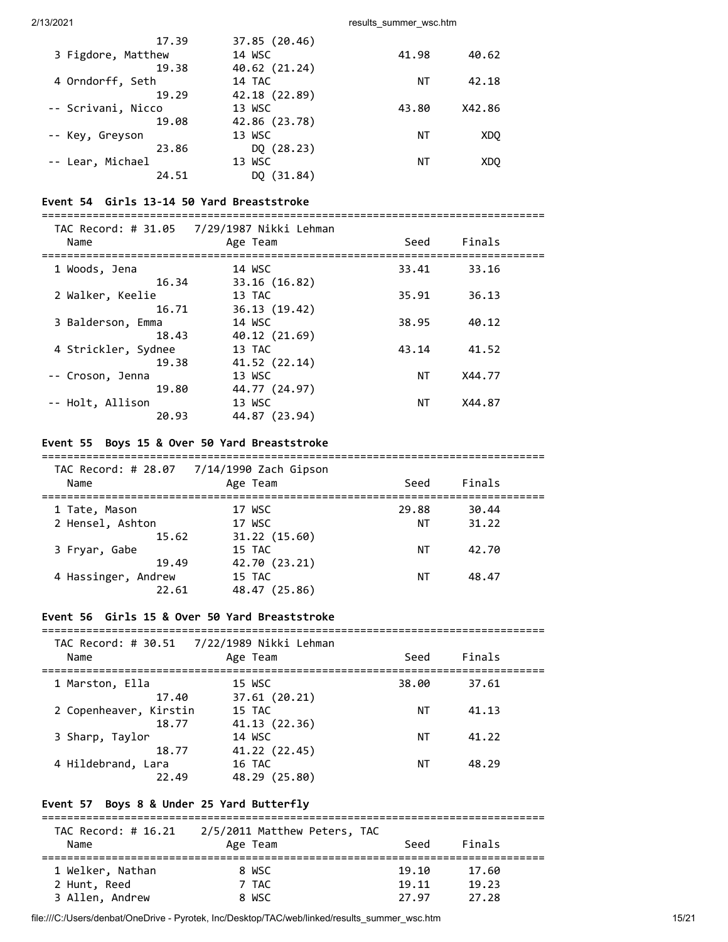| 17.39              | 37.85 (20.46) |       |        |
|--------------------|---------------|-------|--------|
| 3 Figdore, Matthew | 14 WSC        | 41.98 | 40.62  |
| 19.38              | 40.62 (21.24) |       |        |
| 4 Orndorff, Seth   | 14 TAC        | ΝT    | 42.18  |
| 19.29              | 42.18 (22.89) |       |        |
| -- Scrivani, Nicco | 13 WSC        | 43.80 | X42.86 |
| 19.08              | 42.86 (23.78) |       |        |
| -- Key, Greyson    | 13 WSC        | ΝT    | XDO    |
| 23.86              | DQ (28.23)    |       |        |
| -- Lear, Michael   | 13 WSC        | ΝT    | XDO    |
| 24.51              | DO (31.84)    |       |        |
|                    |               |       |        |

#### **Event 54 Girls 13-14 50 Yard Breaststroke**

| Name                | TAC Record: # 31.05 7/29/1987 Nikki Lehman<br>Age Team | Seed  | Finals |  |
|---------------------|--------------------------------------------------------|-------|--------|--|
| 1 Woods, Jena       | 14 WSC                                                 | 33.41 | 33.16  |  |
| 16.34               | 33.16 (16.82)                                          |       |        |  |
| 2 Walker, Keelie    | 13 TAC                                                 | 35.91 | 36.13  |  |
| 16.71               | 36.13 (19.42)                                          |       |        |  |
| 3 Balderson, Emma   | 14 WSC                                                 | 38.95 | 40.12  |  |
| 18.43               | 40.12 (21.69)                                          |       |        |  |
| 4 Strickler, Sydnee | 13 TAC                                                 | 43.14 | 41.52  |  |
| 19.38               | 41.52 (22.14)                                          |       |        |  |
| -- Croson, Jenna    | 13 WSC                                                 | ΝT    | X44.77 |  |
| 19.80               | 44.77 (24.97)                                          |       |        |  |
| -- Holt, Allison    | 13 WSC                                                 | ΝT    | X44.87 |  |
| 20.93               | 44.87 (23.94)                                          |       |        |  |

#### **Event 55 Boys 15 & Over 50 Yard Breaststroke**

# ===============================================================================

| Name                                  | TAC Record: # 28.07 7/14/1990 Zach Gipson<br>Age Team | Seed        | Finals         |  |
|---------------------------------------|-------------------------------------------------------|-------------|----------------|--|
| 1 Tate, Mason<br>2 Hensel, Ashton     | 17 WSC<br>17 WSC                                      | 29.88<br>ΝT | 30.44<br>31.22 |  |
| 15.62<br>3 Fryar, Gabe                | 31.22 (15.60)<br>15 TAC                               | NΤ          | 42.70          |  |
| 19.49<br>4 Hassinger, Andrew<br>22.61 | 42.70 (23.21)<br>15 TAC<br>48.47 (25.86)              | NΤ          | 48.47          |  |

### **Event 56 Girls 15 & Over 50 Yard Breaststroke**

| Name                   | TAC Record: # 30.51  7/22/1989 Nikki Lehman<br>Age Team | Seed  | Finals |  |
|------------------------|---------------------------------------------------------|-------|--------|--|
| 1 Marston, Ella        | 15 WSC                                                  | 38.00 | 37.61  |  |
| 17.40                  | 37.61(20.21)                                            |       |        |  |
| 2 Copenheaver, Kirstin | 15 TAC                                                  | ΝT    | 41.13  |  |
| 18.77                  | 41.13 (22.36)                                           |       |        |  |
| 3 Sharp, Taylor        | 14 WSC                                                  | ΝT    | 41.22  |  |
| 18.77                  | 41.22 (22.45)                                           |       |        |  |
| 4 Hildebrand, Lara     | 16 TAC                                                  | ΝT    | 48.29  |  |
| 22.49                  | 48.29 (25.80)                                           |       |        |  |

# **Event 57 Boys 8 & Under 25 Yard Butterfly**

| TAC Record: # 16.21 | 2/5/2011 Matthew Peters, TAC |       |        |  |
|---------------------|------------------------------|-------|--------|--|
| Name                | Age Team                     | Seed  | Finals |  |
| 1 Welker, Nathan    | 8 WSC                        | 19.10 | 17.60  |  |
| 2 Hunt, Reed        | 7 TAC                        | 19.11 | 19.23  |  |
| 3 Allen, Andrew     | 8 WSC                        | 27.97 | 27.28  |  |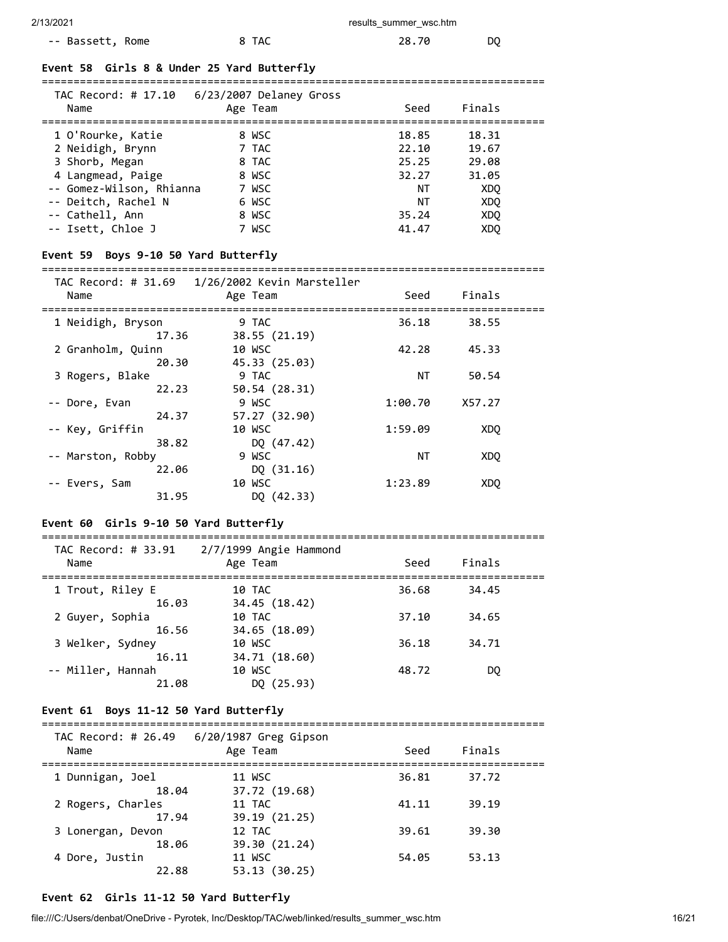### -- Bassett, Rome 8 TAC 28.70 DQ

#### **Event 58 Girls 8 & Under 25 Yard Butterfly**

=============================================================================== TAC Record: # 17.10 6/23/2007 Delaney Gross

| TAC RECORD. $# 17.10 07272007$ Delaney dross<br>Name                                                                                               | Age Team                                                    | Seed                                                  | Finals                                                |  |
|----------------------------------------------------------------------------------------------------------------------------------------------------|-------------------------------------------------------------|-------------------------------------------------------|-------------------------------------------------------|--|
| 1 O'Rourke, Katie<br>2 Neidigh, Brynn<br>3 Shorb, Megan<br>4 Langmead, Paige<br>-- Gomez-Wilson, Rhianna<br>-- Deitch, Rachel N<br>-- Cathell, Ann | 8 WSC<br>7 TAC<br>8 TAC<br>8 WSC<br>7 WSC<br>6 WSC<br>8 WSC | 18.85<br>22.10<br>25.25<br>32.27<br>ΝT<br>ΝT<br>35.24 | 18.31<br>19.67<br>29.08<br>31.05<br>XDO<br>XDO<br>XDO |  |
| -- Isett, Chloe J                                                                                                                                  | 7 WSC                                                       | 41.47                                                 | XD <sub>O</sub>                                       |  |

#### **Event 59 Boys 9-10 50 Yard Butterfly**

===============================================================================

| Name              | Age Team      | Seed    | Finals          |
|-------------------|---------------|---------|-----------------|
|                   |               |         |                 |
| 1 Neidigh, Bryson | 9 TAC         | 36.18   | 38.55           |
| 17.36             | 38.55(21.19)  |         |                 |
| 2 Granholm, Quinn | 10 WSC        | 42.28   | 45.33           |
| 20.30             | 45.33 (25.03) |         |                 |
| 3 Rogers, Blake   | 9 TAC         | ΝT      | 50.54           |
| 22.23             | 50.54 (28.31) |         |                 |
| -- Dore, Evan     | 9 WSC         | 1:00.70 | X57.27          |
| 24.37             | 57.27 (32.90) |         |                 |
| -- Key, Griffin   | 10 WSC        | 1:59.09 | XDO             |
| 38.82             | DQ (47.42)    |         |                 |
| -- Marston, Robby | 9 WSC         | NΤ      | XD <sub>0</sub> |
| 22.06             | DQ(31.16)     |         |                 |
| -- Evers, Sam     | 10 WSC        | 1:23.89 | XD <sub>0</sub> |
| 31.95             | DQ (42.33)    |         |                 |

#### **Event 60 Girls 9-10 50 Yard Butterfly**

| TAC Record: # 33.91<br>Name | $2/7/1999$ Angie Hammond<br>Age Team | Seed  | Finals |  |
|-----------------------------|--------------------------------------|-------|--------|--|
| 1 Trout, Riley E<br>16.03   | 10 TAC<br>34.45 (18.42)              | 36.68 | 34.45  |  |
| 2 Guyer, Sophia<br>16.56    | 10 TAC<br>34.65 (18.09)              | 37.10 | 34.65  |  |
| 3 Welker, Sydney<br>16.11   | 10 WSC<br>34.71 (18.60)              | 36.18 | 34.71  |  |
| -- Miller, Hannah<br>21.08  | 10 WSC<br>DO (25.93)                 | 48.72 | DO.    |  |

===============================================================================

#### **Event 61 Boys 11-12 50 Yard Butterfly**

| TAC Record: # 26.49<br>Name | 6/20/1987 Greg Gipson<br>Age Team | Seed  | Finals |  |
|-----------------------------|-----------------------------------|-------|--------|--|
| 1 Dunnigan, Joel<br>18.04   | 11 WSC<br>37.72 (19.68)           | 36.81 | 37.72  |  |
| 2 Rogers, Charles<br>17.94  | 11 TAC<br>39.19 (21.25)           | 41.11 | 39.19  |  |
| 3 Lonergan, Devon<br>18.06  | 12 TAC<br>39.30 (21.24)           | 39.61 | 39.30  |  |
| 4 Dore, Justin<br>22.88     | 11 WSC<br>53.13(30.25)            | 54.05 | 53.13  |  |

#### **Event 62 Girls 11-12 50 Yard Butterfly**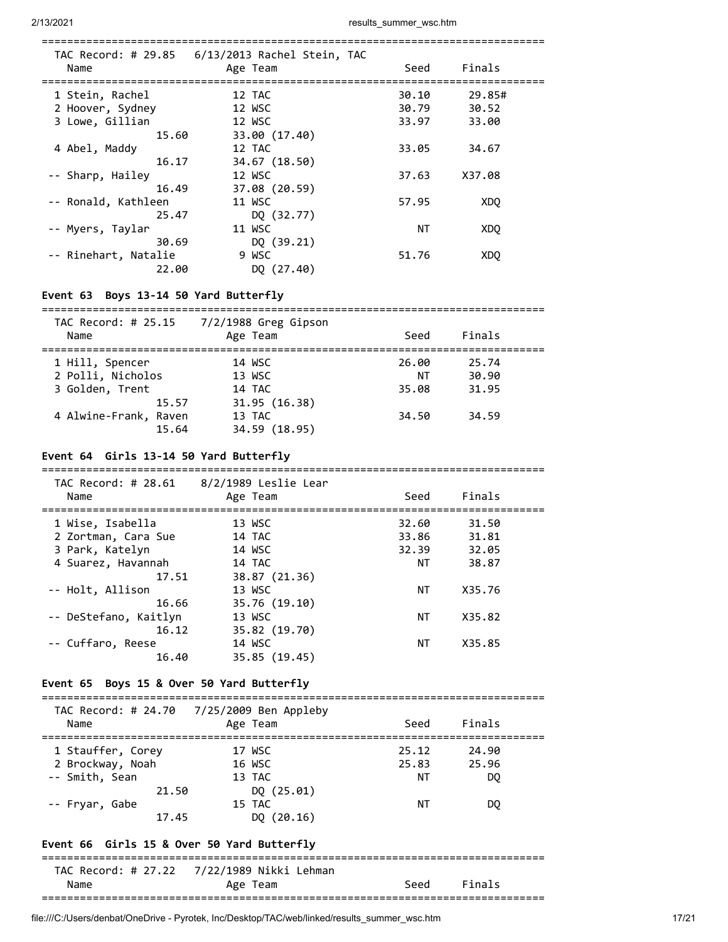| Name                 | Age Team      | Seed  | Finals          |
|----------------------|---------------|-------|-----------------|
| 1 Stein, Rachel      | 12 TAC        | 30.10 | 29.85#          |
| 2 Hoover, Sydney     | 12 WSC        | 30.79 | 30.52           |
| 3 Lowe, Gillian      | 12 WSC        | 33.97 | 33.00           |
| 15.60                | 33.00 (17.40) |       |                 |
| 4 Abel, Maddy        | 12 TAC        | 33.05 | 34.67           |
| 16.17                | 34.67 (18.50) |       |                 |
| -- Sharp, Hailey     | 12 WSC        | 37.63 | X37.08          |
| 16.49                | 37.08 (20.59) |       |                 |
| -- Ronald, Kathleen  | 11 WSC        | 57.95 | XD <sub>0</sub> |
| 25.47                | DQ (32.77)    |       |                 |
| -- Myers, Taylar     | 11 WSC        | ΝT    | <b>XDQ</b>      |
| 30.69                | DQ (39.21)    |       |                 |
| -- Rinehart, Natalie | 9 WSC         | 51.76 | XDO             |
| 22.00                | DQ (27.40)    |       |                 |

### **Event 63 Boys 13-14 50 Yard Butterfly**

| TAC Record: # 25.15<br>Name                             | 7/2/1988 Greg Gipson<br>Age Team         | Seed                 | Finals                  |  |
|---------------------------------------------------------|------------------------------------------|----------------------|-------------------------|--|
| 1 Hill, Spencer<br>2 Polli, Nicholos<br>3 Golden, Trent | 14 WSC<br>13 WSC<br>14 TAC               | 26.00<br>ΝT<br>35.08 | 25.74<br>30.90<br>31.95 |  |
| 15.57<br>4 Alwine-Frank, Raven<br>15.64                 | 31.95 (16.38)<br>13 TAC<br>34.59 (18.95) | 34.50                | 34.59                   |  |

### **Event 64 Girls 13-14 50 Yard Butterfly**

| TAC Record: # $28.61$ $8/2/1989$ Leslie Lear<br>Name | Age Team      | Seed  | Finals |  |
|------------------------------------------------------|---------------|-------|--------|--|
| 1 Wise, Isabella                                     | 13 WSC        | 32.60 | 31.50  |  |
| 2 Zortman, Cara Sue                                  | 14 TAC        | 33.86 | 31.81  |  |
| 3 Park, Katelyn                                      | 14 WSC        | 32.39 | 32.05  |  |
| 4 Suarez, Havannah                                   | 14 TAC        | ΝT    | 38.87  |  |
| 17.51                                                | 38.87 (21.36) |       |        |  |
| -- Holt, Allison                                     | 13 WSC        | ΝT    | X35.76 |  |
| 16.66                                                | 35.76 (19.10) |       |        |  |
| -- DeStefano, Kaitlyn                                | 13 WSC        | ΝT    | X35.82 |  |
| 16.12                                                | 35.82 (19.70) |       |        |  |
| -- Cuffaro, Reese                                    | 14 WSC        | ΝT    | X35.85 |  |
| 16.40                                                | 35.85 (19.45) |       |        |  |

#### **Event 65 Boys 15 & Over 50 Yard Butterfly**

=============================================================================== TAC Record: # 24.70 7/25/2009 Ben Appleby

| Name                                       | THE RECOT $\alpha$ , $\pi$ $2\pi$ , $\sigma$ $\gamma$ $2\pi$ $2\pi$ $2\sigma$<br>Age Team | Seed           | Finals         |
|--------------------------------------------|-------------------------------------------------------------------------------------------|----------------|----------------|
| 1 Stauffer, Corey<br>2 Brockway, Noah      | 17 WSC<br>16 WSC                                                                          | 25.12<br>25.83 | 24.90<br>25.96 |
| -- Smith, Sean<br>21.50                    | 13 TAC<br>DQ(25.01)                                                                       | ΝT             | DQ.            |
| -- Fryar, Gabe<br>17.45                    | 15 TAC<br>DO $(20.16)$                                                                    | ΝT             | DO.            |
| Event 66 Girls 15 & Over 50 Yard Butterfly |                                                                                           |                |                |
|                                            | TAC Record: # 27.22 7/22/1989 Nikki Lehman                                                |                |                |

| Namu |  |  |
|------|--|--|
| ---  |  |  |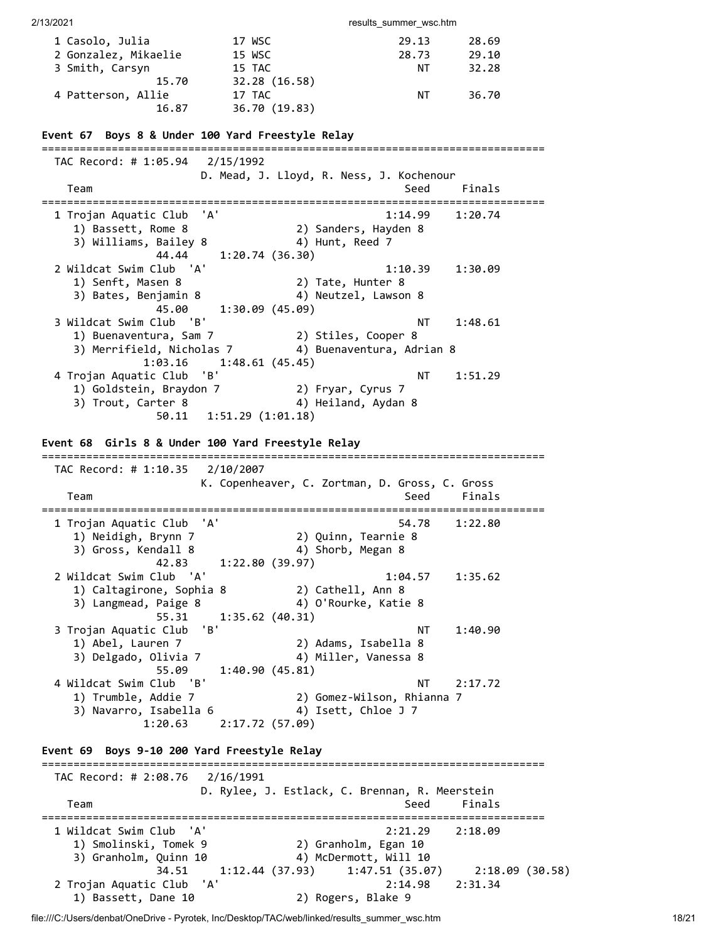| 2/13/2021                                         |                             | results_summer_wsc.htm                                |         |  |
|---------------------------------------------------|-----------------------------|-------------------------------------------------------|---------|--|
|                                                   |                             |                                                       |         |  |
| 1 Casolo, Julia                                   | 17 WSC                      | 29.13                                                 | 28.69   |  |
| 2 Gonzalez, Mikaelie                              | 15 WSC                      | 28.73                                                 | 29.10   |  |
| 3 Smith, Carsyn                                   | 15 TAC                      | ΝT                                                    | 32.28   |  |
| 15.70                                             | 32.28 (16.58)               |                                                       |         |  |
| 4 Patterson, Allie                                | 17 TAC                      | NT                                                    | 36.70   |  |
| 16.87                                             | 36.70 (19.83)               |                                                       |         |  |
| Event 67 Boys 8 & Under 100 Yard Freestyle Relay  |                             |                                                       |         |  |
|                                                   |                             |                                                       |         |  |
| TAC Record: # 1:05.94 2/15/1992                   |                             |                                                       |         |  |
|                                                   |                             | D. Mead, J. Lloyd, R. Ness, J. Kochenour              |         |  |
| Team                                              |                             | Seed                                                  | Finals  |  |
|                                                   |                             |                                                       |         |  |
| 1 Trojan Aquatic Club                             | 'A'                         | 1:14.99                                               | 1:20.74 |  |
| 1) Bassett, Rome 8                                |                             | 2) Sanders, Hayden 8                                  |         |  |
| 3) Williams, Bailey 8                             |                             | 4) Hunt, Reed 7                                       |         |  |
| 44.44                                             | 1:20.74(36.30)              |                                                       |         |  |
| 2 Wildcat Swim Club<br>'A'                        |                             | 1:10.39                                               | 1:30.09 |  |
| 1) Senft, Masen 8                                 |                             | 2) Tate, Hunter 8                                     |         |  |
| 3) Bates, Benjamin 8                              |                             | 4) Neutzel, Lawson 8                                  |         |  |
| 45.00                                             | 1:30.09 (45.09)             |                                                       |         |  |
| 3 Wildcat Swim Club<br>'B'                        |                             | ΝT                                                    | 1:48.61 |  |
| 1) Buenaventura, Sam 7                            |                             | 2) Stiles, Cooper 8                                   |         |  |
| 3) Merrifield, Nicholas 7                         |                             | 4) Buenaventura, Adrian 8                             |         |  |
| 1:03.16                                           | 1:48.61(45.45)              |                                                       |         |  |
| 4 Trojan Aquatic Club                             | 'B'                         | <b>NT</b>                                             | 1:51.29 |  |
| 1) Goldstein, Braydon 7                           |                             | 2) Fryar, Cyrus 7                                     |         |  |
|                                                   |                             | 4) Heiland, Aydan 8                                   |         |  |
| 3) Trout, Carter 8                                |                             |                                                       |         |  |
|                                                   | 50.11 1:51.29 (1:01.18)     |                                                       |         |  |
|                                                   |                             |                                                       |         |  |
| Event 68 Girls 8 & Under 100 Yard Freestyle Relay |                             |                                                       |         |  |
|                                                   |                             |                                                       |         |  |
| TAC Record: # 1:10.35                             | 2/10/2007                   |                                                       |         |  |
|                                                   |                             |                                                       |         |  |
|                                                   |                             | K. Copenheaver, C. Zortman, D. Gross, C. Gross        |         |  |
| Team                                              |                             | Seed                                                  | Finals  |  |
|                                                   |                             |                                                       |         |  |
| 1 Trojan Aquatic Club                             | 'A'                         | 54.78                                                 | 1:22.80 |  |
| 1) Neidigh, Brynn 7                               |                             | 2) Quinn, Tearnie 8                                   |         |  |
| 3) Gross, Kendall 8                               |                             | 4) Shorb, Megan 8                                     |         |  |
| 42.83                                             | 1:22.80(39.97)              |                                                       |         |  |
| 2 Wildcat Swim Club 'A'                           |                             | 1:04.57                                               | 1:35.62 |  |
| 1) Caltagirone, Sophia 8                          |                             | 2) Cathell, Ann 8                                     |         |  |
| 3) Langmead, Paige 8                              |                             | 4) O'Rourke, Katie 8                                  |         |  |
| 55.31                                             | 1:35.62(40.31)              |                                                       |         |  |
| 3 Trojan Aquatic Club                             | 'B'                         | NT                                                    | 1:40.90 |  |
|                                                   |                             |                                                       |         |  |
| 1) Abel, Lauren 7                                 |                             | 2) Adams, Isabella 8                                  |         |  |
| 3) Delgado, Olivia 7                              |                             | 4) Miller, Vanessa 8                                  |         |  |
| 55.09                                             | 1:40.90(45.81)              |                                                       |         |  |
| 4 Wildcat Swim Club 'B'                           |                             | <b>NT</b>                                             | 2:17.72 |  |
| 1) Trumble, Addie 7                               |                             | 2) Gomez-Wilson, Rhianna 7                            |         |  |
| 3) Navarro, Isabella 6                            |                             | 4) Isett, Chloe J 7                                   |         |  |
|                                                   | $1:20.63$ $2:17.72$ (57.09) |                                                       |         |  |
|                                                   |                             |                                                       |         |  |
| Event 69 Boys 9-10 200 Yard Freestyle Relay       |                             |                                                       |         |  |
|                                                   |                             |                                                       |         |  |
|                                                   |                             |                                                       |         |  |
|                                                   |                             | D. Rylee, J. Estlack, C. Brennan, R. Meerstein        |         |  |
| Team                                              |                             | Seed                                                  | Finals  |  |
|                                                   |                             |                                                       |         |  |
| 1 Wildcat Swim Club<br>'A'                        |                             | 2:21.29                                               | 2:18.09 |  |
| 1) Smolinski, Tomek 9                             |                             | 2) Granholm, Egan 10                                  |         |  |
| 3) Granholm, Quinn 10                             |                             | 4) McDermott, Will 10                                 |         |  |
| 34.51                                             |                             | $1:12.44$ (37.93) $1:47.51$ (35.07) $2:18.09$ (30.58) |         |  |
| 2 Trojan Aquatic Club 'A'<br>1) Bassett, Dane 10  |                             | 2:14.98<br>2) Rogers, Blake 9                         | 2:31.34 |  |

file:///C:/Users/denbat/OneDrive - Pyrotek, Inc/Desktop/TAC/web/linked/results\_summer\_wsc.htm 18/21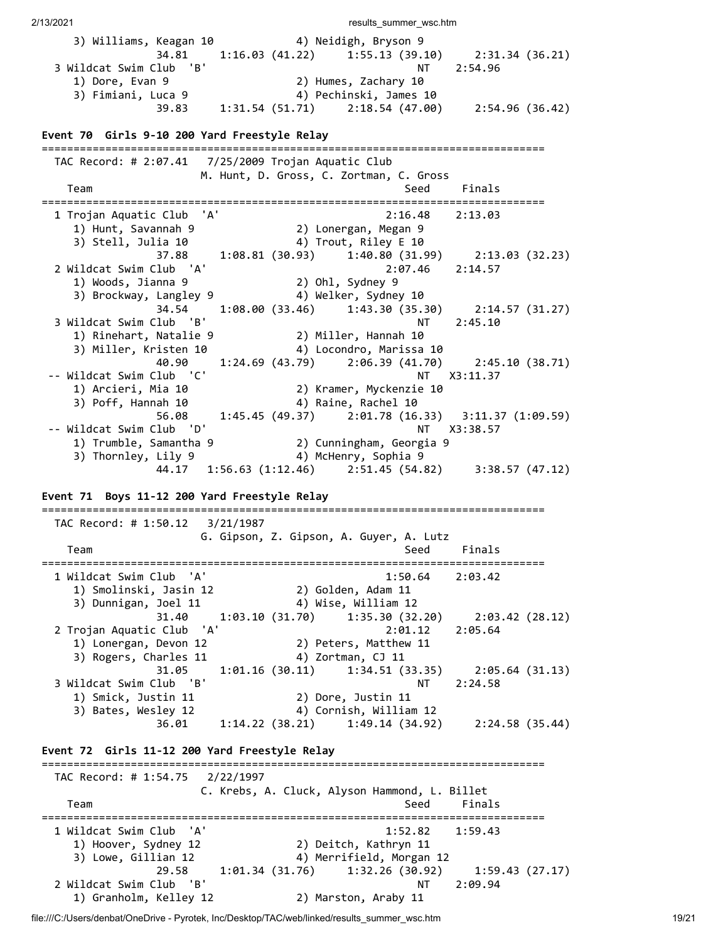2/13/2021 **results** summer wsc.htm 3) Williams, Keagan 10 4) Neidigh, Bryson 9 34.81 1:16.03 (41.22) 1:55.13 (39.10) 2:31.34 (36.21) 3 Wildcat Swim Club 'B' 1) Dore, Evan 9 2) Humes, Zachary 10 3) Fimiani, Luca 9 4) Pechinski, James 10 39.83 1:31.54 (51.71) 2:18.54 (47.00) 2:54.96 (36.42) **Event 70 Girls 9-10 200 Yard Freestyle Relay** =============================================================================== TAC Record: # 2:07.41 7/25/2009 Trojan Aquatic Club M. Hunt, D. Gross, C. Zortman, C. Gross Team Seed Finals =============================================================================== 1 Trojan Aquatic Club 'A' 2:16.48 2:13.03 1) Hunt, Savannah 9 2) Lonergan, Megan 9 3) Stell, Julia 10 4) Trout, Riley E 10 37.88 1:08.81 (30.93) 1:40.80 (31.99) 2:13.03 (32.23) 2 Wildcat Swim Club 'A' 2:07.46 2:14.57 1) Woods, Jianna 9 2) Ohl, Sydney 9 3) Brockway, Langley 9 4) Welker, Sydney 10 34.54 1:08.00 (33.46) 1:43.30 (35.30) 2:14.57 (31.27) 3 Wildcat Swim Club 'B' NT 2:45.10 1) Rinehart, Natalie 9 2) Miller, Hannah 10<br>3) Miller, Kristen 10 4) Locondro, Marissa 10 3) Miller, Kristen 10 4) Locondro, Marissa 10 40.90 1:24.69 (43.79) 2:06.39 (41.70) 2:45.10 (38.71) -- Wildcat Swim Club 'C' NT X3:11.37 1) Arcieri, Mia 10 2) Kramer, Myckenzie 10<br>3) Poff, Hannah 10 4) Raine, Rachel 10 3) Poff, Hannah 10 4) Raine, Rachel 10 56.08 1:45.45 (49.37) 2:01.78 (16.33) 3:11.37 (1:09.59) -- Wildcat Swim Club 'D' NT X3:38.57 1) Trumble, Samantha 9 2) Cunningham, Georgia 9 3) Thornley, Lily 9 4) McHenry, Sophia 9 44.17 1:56.63 (1:12.46) 2:51.45 (54.82) 3:38.57 (47.12) **Event 71 Boys 11-12 200 Yard Freestyle Relay** =============================================================================== TAC Record: # 1:50.12 3/21/1987 G. Gipson, Z. Gipson, A. Guyer, A. Lutz Team Seed Finals =============================================================================== 1 Wildcat Swim Club 'A' 1:50.64 2:03.42 1) Smolinski, Jasin 12 2) Golden, Adam 11 3) Dunnigan, Joel 11 4) Wise, William 12 31.40 1:03.10 (31.70) 1:35.30 (32.20) 2:03.42 (28.12) 2 Trojan Aquatic Club 'A' 2:01.12 2:05.64 1) Lonergan, Devon 12 2) Peters, Matthew 11<br>3) Rogers, Charles 11 4) Zortman, CJ 11 3) Rogers, Charles 11 4) Zortman, CJ 11 31.05 1:01.16 (30.11) 1:34.51 (33.35) 2:05.64 (31.13) 3 Wildcat Swim Club 'B' NT 2:24.58 1) Smick, Justin 11 2) Dore, Justin 11 3) Bates, Wesley 12 4) Cornish, William 12 36.01 1:14.22 (38.21) 1:49.14 (34.92) 2:24.58 (35.44) **Event 72 Girls 11-12 200 Yard Freestyle Relay** =============================================================================== TAC Record: # 1:54.75 2/22/1997 C. Krebs, A. Cluck, Alyson Hammond, L. Billet Team Seed Finals =============================================================================== 1 Wildcat Swim Club 'A' 1:52.82 1:59.43 1) Hoover, Sydney 12 2) Deitch, Kathryn 11

 29.58 1:01.34 (31.76) 1:32.26 (30.92) 1:59.43 (27.17) 2 Wildcat Swim Club 'B' NT 2:09.94 1) Granholm, Kelley 12 2) Marston, Araby 11

3) Lowe, Gillian 12 4) Merrifield, Morgan 12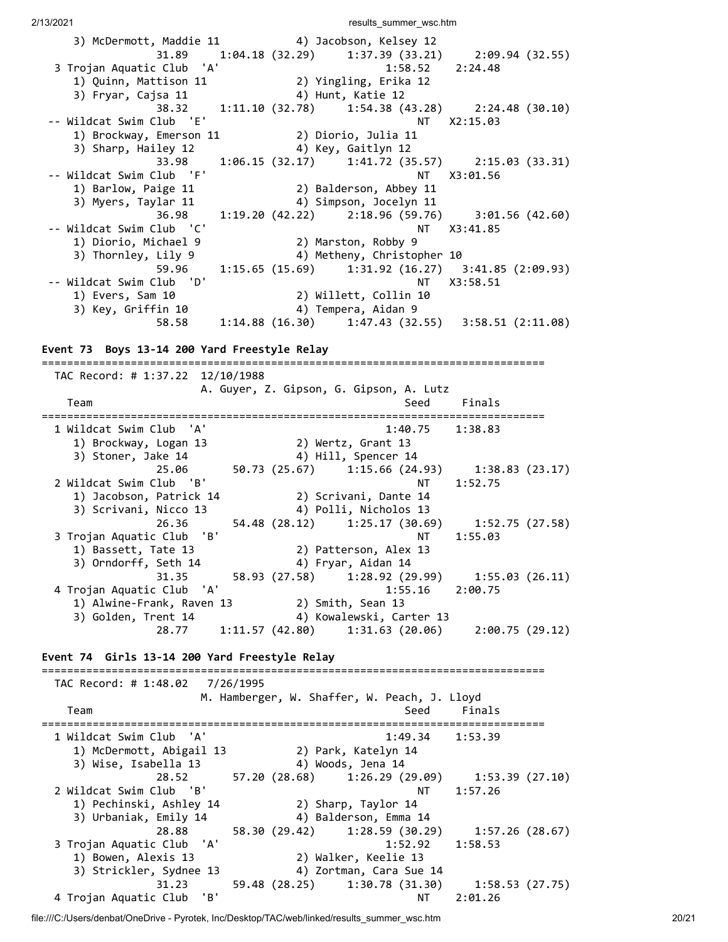2/13/2021 **results** summer wsc.htm 3) McDermott, Maddie 11 (4) Jacobson, Kelsey 12<br>31.89 (33.21) (33.21) (34.18 (34.18 (32.29) (33.21) (33.21) (34.49.94 (32.55) 31.89 1:04.18 (32.29) 1:37.39 (33.21) 2:09.94 (32.55) 3 Trojan Aquatic Club 'A' 1:58.52 2:24.48 1) Quinn, Mattison 11 2) Yingling, Erika 12 3) Fryar, Cajsa 11 4) Hunt, Katie 12 38.32 1:11.10 (32.78) 1:54.38 (43.28) 2:24.48 (30.10) -- Wildcat Swim Club 'E' NT X2:15.03 1) Brockway, Emerson 11 2) Diorio, Julia 11 3) Sharp, Hailey 12 4) Key, Gaitlyn 12 33.98 1:06.15 (32.17) 1:41.72 (35.57) 2:15.03 (33.31) -- Wildcat Swim Club 'F' NT X3:01.56 1) Barlow, Paige 11 2) Balderson, Abbey 11 3) Myers, Taylar 11 4) Simpson, Jocelyn 11 36.98 1:19.20 (42.22) 2:18.96 (59.76) 3:01.56 (42.60) -- Wildcat Swim Club 'C' NT X3:41.85 1) Diorio, Michael 9 2) Marston, Robby 9 3) Thornley, Lily 9 4) Metheny, Christopher 10 59.96 1:15.65 (15.69) 1:31.92 (16.27) 3:41.85 (2:09.93) -- Wildcat Swim Club 'D' NT X3:58.51 1) Evers, Sam 10 2) Willett, Collin 10 3) Key, Griffin 10 4) Tempera, Aidan 9 58.58 1:14.88 (16.30) 1:47.43 (32.55) 3:58.51 (2:11.08) **Event 73 Boys 13-14 200 Yard Freestyle Relay** =============================================================================== TAC Record: # 1:37.22 12/10/1988 A. Guyer, Z. Gipson, G. Gipson, A. Lutz Team Seed Finals =============================================================================== 1 Wildcat Swim Club 'A' 1:40.75 1:38.83 1) Brockway, Logan 13 2) Wertz, Grant 13 3) Stoner, Jake 14  $\hskip1cm$  4) Hill, Spencer 14 25.06 50.73 (25.67) 1:15.66 (24.93) 1:38.83 (23.17) 2 Wildcat Swim Club 'B' NT 1:52.75 1) Jacobson, Patrick 14 2) Scrivani, Dante 14 3) Scrivani, Nicco 13 4) Polli, Nicholos 13 26.36 54.48 (28.12) 1:25.17 (30.69) 1:52.75 (27.58) 3 Trojan Aquatic Club 'B' NT 1:55.03 1) Bassett, Tate 13 2) Patterson, Alex 13 3) Orndorff, Seth 14 4) Fryar, Aidan 14 31.35 58.93 (27.58) 1:28.92 (29.99) 1:55.03 (26.11) 4 Trojan Aquatic Club 'A' 1:55.16 2:00.75 1) Alwine-Frank, Raven 13 2) Smith, Sean 13 3) Golden, Trent 14  $\hskip1cm$  4) Kowalewski, Carter 13 28.77 1:11.57 (42.80) 1:31.63 (20.06) 2:00.75 (29.12) **Event 74 Girls 13-14 200 Yard Freestyle Relay** =============================================================================== TAC Record: # 1:48.02 7/26/1995 M. Hamberger, W. Shaffer, W. Peach, J. Lloyd Team Seed Finals =============================================================================== 1 Wildcat Swim Club 'A' 1:49.34 1:53.39 1) McDermott, Abigail 13 2) Park, Katelyn 14 3) Wise, Isabella 13 4) Woods, Jena 14 28.52 57.20 (28.68) 1:26.29 (29.09) 1:53.39 (27.10) 2 Wildcat Swim Club 'B' NT 1:57.26 1) Pechinski, Ashley 14 2) Sharp, Taylor 14 3) Urbaniak, Emily 14 4) Balderson, Emma 14 28.88 58.30 (29.42) 1:28.59 (30.29) 1:57.26 (28.67) 3 Trojan Aquatic Club 'A' 1:52.92 1:58.53 1) Bowen, Alexis 13 2) Walker, Keelie 13 3) Strickler, Sydnee 13 4) Zortman, Cara Sue 14

file:///C:/Users/denbat/OneDrive - Pyrotek, Inc/Desktop/TAC/web/linked/results\_summer\_wsc.htm 20/21

31.23 59.48 (28.25) 1:30.78 (31.30) 1:58.53 (27.75)

4 Trojan Aquatic Club 'B' NT 2:01.26